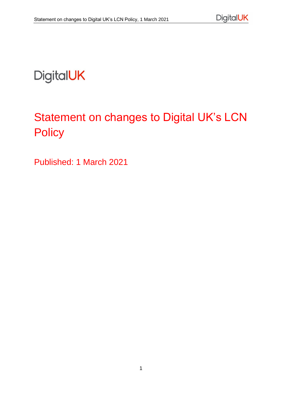# **DigitalUK**

# Statement on changes to Digital UK's LCN **Policy**

Published: 1 March 2021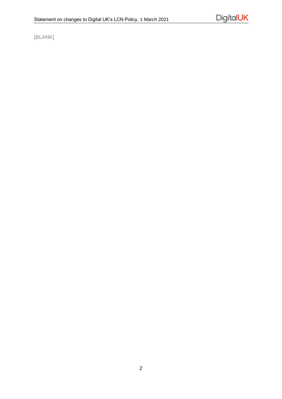[BLANK]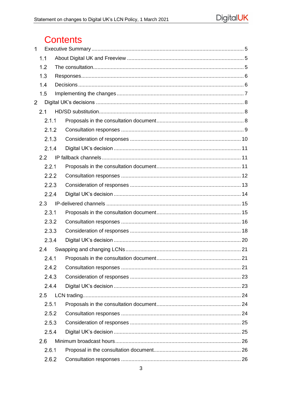# **Contents**

| 1 |               |  |
|---|---------------|--|
|   | 1.1           |  |
|   | 1.2           |  |
|   | 1.3           |  |
|   | 1.4           |  |
|   | 1.5           |  |
| 2 |               |  |
|   | 2.1           |  |
|   | 2.1.1         |  |
|   | 2.1.2         |  |
|   | 2.1.3         |  |
|   | 2.1.4         |  |
|   | $2.2^{\circ}$ |  |
|   | 2.2.1         |  |
|   | 2.2.2         |  |
|   | 2.2.3         |  |
|   | 2.2.4         |  |
|   | 2.3           |  |
|   | 2.3.1         |  |
|   | 2.3.2         |  |
|   | 2.3.3         |  |
|   | 2.3.4         |  |
|   | 2.4           |  |
|   |               |  |
|   | 2.4.2         |  |
|   | 2.4.3         |  |
|   | 2.4.4         |  |
|   | 2.5           |  |
|   | 2.5.1         |  |
|   | 2.5.2         |  |
|   | 2.5.3         |  |
|   | 2.5.4         |  |
|   | 2.6           |  |
|   | 2.6.1         |  |
|   | 2.6.2         |  |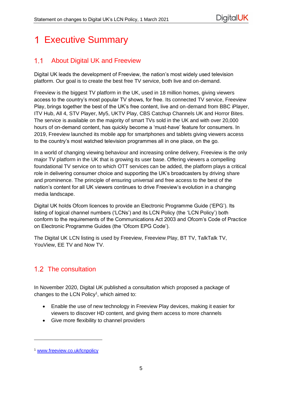# <span id="page-4-0"></span>**1 Executive Summary**

#### <span id="page-4-1"></span> $1.1$ About Digital UK and Freeview

Digital UK leads the development of Freeview, the nation's most widely used television platform. Our goal is to create the best free TV service, both live and on-demand.

Freeview is the biggest TV platform in the UK, used in 18 million homes, giving viewers access to the country's most popular TV shows, for free. Its connected TV service, Freeview Play, brings together the best of the UK's free content, live and on-demand from BBC iPlayer, ITV Hub, All 4, STV Player, My5, UKTV Play, CBS Catchup Channels UK and Horror Bites. The service is available on the majority of smart TVs sold in the UK and with over 20,000 hours of on-demand content, has quickly become a 'must-have' feature for consumers. In 2019, Freeview launched its mobile app for smartphones and tablets giving viewers access to the country's most watched television programmes all in one place, on the go.

In a world of changing viewing behaviour and increasing online delivery, Freeview is the only major TV platform in the UK that is growing its user base. Offering viewers a compelling foundational TV service on to which OTT services can be added, the platform plays a critical role in delivering consumer choice and supporting the UK's broadcasters by driving share and prominence. The principle of ensuring universal and free access to the best of the nation's content for all UK viewers continues to drive Freeview's evolution in a changing media landscape.

Digital UK holds Ofcom licences to provide an Electronic Programme Guide ('EPG'). Its listing of logical channel numbers ('LCNs') and its LCN Policy (the 'LCN Policy') both conform to the requirements of the Communications Act 2003 and Ofcom's Code of Practice on Electronic Programme Guides (the 'Ofcom EPG Code').

The Digital UK LCN listing is used by Freeview, Freeview Play, BT TV, TalkTalk TV, YouView, EE TV and Now TV.

# <span id="page-4-2"></span>1.2 The consultation

In November 2020, Digital UK published a consultation which proposed a package of changes to the LCN Policy<sup>1</sup>, which aimed to:

- Enable the use of new technology in Freeview Play devices, making it easier for viewers to discover HD content, and giving them access to more channels
- Give more flexibility to channel providers

<sup>1</sup> [www.freeview.co.uk/lcnpolicy](http://www.freeview.co.uk/lcnpolicy)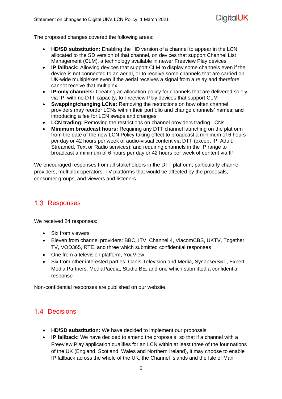The proposed changes covered the following areas:

- **HD/SD substitution:** Enabling the HD version of a channel to appear in the LCN allocated to the SD version of that channel, on devices that support Channel List Management (CLM), a technology available in newer Freeview Play devices
- **IP fallback:** Allowing devices that support CLM to display some channels even if the device is not connected to an aerial, or to receive some channels that are carried on UK-wide multiplexes even if the aerial receives a signal from a relay and therefore cannot receive that multiplex
- **IP-only channels:** Creating an allocation policy for channels that are delivered solely via IP, with no DTT capacity, to Freeview Play devices that support CLM
- **Swapping/changing LCNs:** Removing the restrictions on how often channel providers may reorder LCNs within their portfolio and change channels' names; and introducing a fee for LCN swaps and changes
- **LCN trading:** Removing the restrictions on channel providers trading LCNs
- **Minimum broadcast hours:** Requiring any DTT channel launching on the platform from the date of the new LCN Policy taking effect to broadcast a minimum of 6 hours per day or 42 hours per week of audio-visual content via DTT (except IP, Adult, Streamed, Text or Radio services); and requiring channels in the IP range to broadcast a minimum of 6 hours per day or 42 hours per week of content via IP

We encouraged responses from all stakeholders in the DTT platform; particularly channel providers, multiplex operators, TV platforms that would be affected by the proposals, consumer groups, and viewers and listeners.

## <span id="page-5-0"></span>1.3 Responses

We received 24 responses:

- Six from viewers
- Eleven from channel providers: BBC, ITV, Channel 4, ViacomCBS, UKTV, Together TV, VOD365, RTE, and three which submitted confidential responses
- One from a television platform, YouView
- Six from other interested parties: Canis Television and Media, Synapse/S&T, Expert Media Partners, MediaPaedia, Studio BE, and one which submitted a confidential response

Non-confidential responses are published on our website.

# <span id="page-5-1"></span>1.4 Decisions

- **HD/SD substitution:** We have decided to implement our proposals
- **IP fallback:** We have decided to amend the proposals, so that if a channel with a Freeview Play application qualifies for an LCN within at least three of the four nations of the UK (England, Scotland, Wales and Northern Ireland), it may choose to enable IP fallback across the whole of the UK, the Channel Islands and the Isle of Man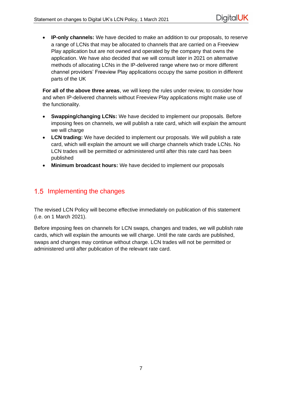• **IP-only channels:** We have decided to make an addition to our proposals, to reserve a range of LCNs that may be allocated to channels that are carried on a Freeview Play application but are not owned and operated by the company that owns the application. We have also decided that we will consult later in 2021 on alternative methods of allocating LCNs in the IP-delivered range where two or more different channel providers' Freeview Play applications occupy the same position in different parts of the UK

**For all of the above three areas**, we will keep the rules under review, to consider how and when IP-delivered channels without Freeview Play applications might make use of the functionality.

- **Swapping/changing LCNs:** We have decided to implement our proposals. Before imposing fees on channels, we will publish a rate card, which will explain the amount we will charge
- **LCN trading:** We have decided to implement our proposals. We will publish a rate card, which will explain the amount we will charge channels which trade LCNs. No LCN trades will be permitted or administered until after this rate card has been published
- **Minimum broadcast hours:** We have decided to implement our proposals

# <span id="page-6-0"></span>1.5 Implementing the changes

The revised LCN Policy will become effective immediately on publication of this statement (i.e. on 1 March 2021).

Before imposing fees on channels for LCN swaps, changes and trades, we will publish rate cards, which will explain the amounts we will charge. Until the rate cards are published, swaps and changes may continue without charge. LCN trades will not be permitted or administered until after publication of the relevant rate card.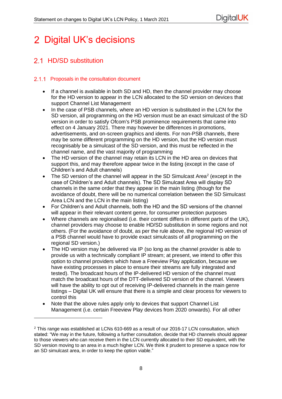# <span id="page-7-0"></span>2 Digital UK's decisions

# <span id="page-7-1"></span>2.1 HD/SD substitution

### <span id="page-7-2"></span>2.1.1 Proposals in the consultation document

- If a channel is available in both SD and HD, then the channel provider may choose for the HD version to appear in the LCN allocated to the SD version on devices that support Channel List Management
- In the case of PSB channels, where an HD version is substituted in the LCN for the SD version, all programming on the HD version must be an exact simulcast of the SD version in order to satisfy Ofcom's PSB prominence requirements that came into effect on 4 January 2021. There may however be differences in promotions, advertisements, and on-screen graphics and idents. For non-PSB channels, there may be some different programming on the HD version, but the HD version must recognisably be a simulcast of the SD version, and this must be reflected in the channel name, and the vast majority of programming
- The HD version of the channel may retain its LCN in the HD area on devices that support this, and may therefore appear twice in the listing (except in the case of Children's and Adult channels)
- The SD version of the channel will appear in the SD Simulcast Area<sup>2</sup> (except in the case of Children's and Adult channels). The SD Simulcast Area will display SD channels in the same order that they appear in the main listing (though for the avoidance of doubt, there will be no numerical correlation between the SD Simulcast Area LCN and the LCN in the main listing)
- For Children's and Adult channels, both the HD and the SD versions of the channel will appear in their relevant content genre, for consumer protection purposes
- Where channels are regionalised (i.e. their content differs in different parts of the UK), channel providers may choose to enable HD/SD substitution in some regions and not others. (For the avoidance of doubt, as per the rule above, the regional HD version of a PSB channel would have to provide exact simulcasts of all programming on the regional SD version.)
- The HD version may be delivered via IP (so long as the channel provider is able to provide us with a technically compliant IP stream; at present, we intend to offer this option to channel providers which have a Freeview Play application, because we have existing processes in place to ensure their streams are fully integrated and tested). The broadcast hours of the IP-delivered HD version of the channel must match the broadcast hours of the DTT-delivered SD version of the channel. Viewers will have the ability to opt out of receiving IP-delivered channels in the main genre listings – Digital UK will ensure that there is a simple and clear process for viewers to control this
- Note that the above rules apply only to devices that support Channel List Management (i.e. certain Freeview Play devices from 2020 onwards). For all other

<sup>&</sup>lt;sup>2</sup> This range was established at LCNs 610-669 as a result of our 2016-17 LCN consultation, which stated: "We may in the future, following a further consultation, decide that HD channels should appear to those viewers who can receive them in the LCN currently allocated to their SD equivalent, with the SD version moving to an area in a much higher LCN. We think it prudent to preserve a space now for an SD simulcast area, in order to keep the option viable."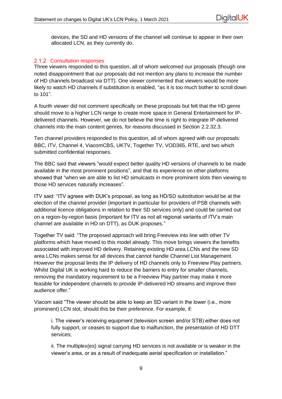devices, the SD and HD versions of the channel will continue to appear in their own allocated LCN, as they currently do.

### <span id="page-8-0"></span>2.1.2 Consultation responses

Three viewers responded to this question, all of whom welcomed our proposals (though one noted disappointment that our proposals did not mention any plans to increase the number of HD channels broadcast via DTT). One viewer commented that viewers would be more likely to watch HD channels if substitution is enabled, "as it is too much bother to scroll down to 101".

A fourth viewer did not comment specifically on these proposals but felt that the HD genre should move to a higher LCN range to create more space in General Entertainment for IPdelivered channels. However, we do not believe the time is right to integrate IP-delivered channels into the main content genres, for reasons discussed in Section [2.2.3](#page-12-0)[2.3.](#page-14-0)

Ten channel providers responded to this question, all of whom agreed with our proposals: BBC, ITV, Channel 4, ViacomCBS, UKTV, Together TV, VOD365, RTE, and two which submitted confidential responses.

The BBC said that viewers "would expect better quality HD versions of channels to be made available in the most prominent positions", and that its experience on other platforms showed that "when we are able to list HD simulcasts in more prominent slots then viewing to those HD services naturally increases".

ITV said: "ITV agrees with DUK's proposal, as long as HD/SD substitution would be at the election of the channel provider (important in particular for providers of PSB channels with additional licence obligations in relation to their SD services only) and could be carried out on a region-by-region basis (important for ITV as not all regional variants of ITV's main channel are available in HD on DTT), as DUK proposes."

Together TV said: "The proposed approach will bring Freeview into line with other TV platforms which have moved to this model already. This move brings viewers the benefits associated with improved HD delivery. Retaining existing HD area LCNs and the new SD area LCNs makes sense for all devices that cannot handle Channel List Management. However the proposal limits the IP delivery of HD channels only to Freeview Play partners. Whilst Digital UK is working hard to reduce the barriers to entry for smaller channels, removing the mandatory requirement to be a Freeview Play partner may make it more feasible for independent channels to provide IP-delivered HD streams and improve their audience offer."

Viacom said "The viewer should be able to keep an SD variant in the lower (i.e., more prominent) LCN slot, should this be their preference. For example, if:

i. The viewer's receiving equipment (television screen and/or STB) either does not fully support, or ceases to support due to malfunction, the presentation of HD DTT services;

ii. The multiplex(es) signal carrying HD services is not available or is weaker in the viewer's area, or as a result of inadequate aerial specification or installation."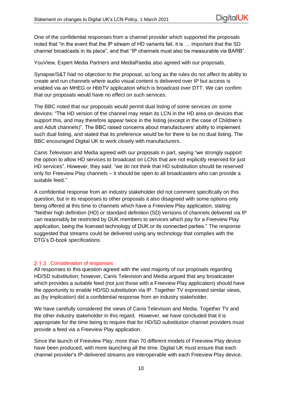One of the confidential responses from a channel provider which supported the proposals noted that "in the event that the IP stream of HD variants fail, it is … important that the SD channel broadcasts in its place", and that "IP channels must also be measurable via BARB".

YouView, Expert Media Partners and MediaPaedia also agreed with our proposals.

Synapse/S&T had no objection to the proposal, so long as the rules do not affect its ability to create and run channels where audio visual content is delivered over IP but access is enabled via an MHEG or HbbTV application which is broadcast over DTT. We can confirm that our proposals would have no effect on such services.

The BBC noted that our proposals would permit dual listing of some services on some devices: "The HD version of the channel may retain its LCN in the HD area on devices that support this, and may therefore appear twice in the listing (except in the case of Children's and Adult channels)". The BBC raised concerns about manufacturers' ability to implement such dual listing, and stated that its preference would be for there to be no dual listing. The BBC encouraged Digital UK to work closely with manufacturers.

Canis Television and Media agreed with our proposals in part, saying "we strongly support the option to allow HD services to broadcast on LCNs that are not explicitly reserved for just HD services". However, they said: "we do not think that HD substitution should be reserved only for Freeview Play channels – it should be open to all broadcasters who can provide a suitable feed."

A confidential response from an industry stakeholder did not comment specifically on this question, but in its responses to other proposals it also disagreed with some options only being offered at this time to channels which have a Freeview Play application, stating: "Neither high definition (HD) or standard definition (SD) versions of channels delivered via IP can reasonably be restricted by DUK members to services which pay for a Freeview Play application, being the licensed technology of DUK or its connected parties." The response suggested that streams could be delivered using any technology that complies with the DTG's D-book specifications.

### <span id="page-9-0"></span>2.1.3 Consideration of responses

All responses to this question agreed with the vast majority of our proposals regarding HD/SD substitution; however, Canis Television and Media argued that any broadcaster which provides a suitable feed (not just those with a Freeview Play application) should have the opportunity to enable HD/SD substitution via IP. Together TV expressed similar views, as (by implication) did a confidential response from an industry stakeholder.

We have carefully considered the views of Canis Television and Media, Together TV and the other industry stakeholder in this regard. However, we have concluded that it is appropriate for the time being to require that for HD/SD substitution channel providers must provide a feed via a Freeview Play application.

Since the launch of Freeview Play, more than 70 different models of Freeview Play device have been produced, with more launching all the time. Digital UK must ensure that each channel provider's IP-delivered streams are interoperable with each Freeview Play device,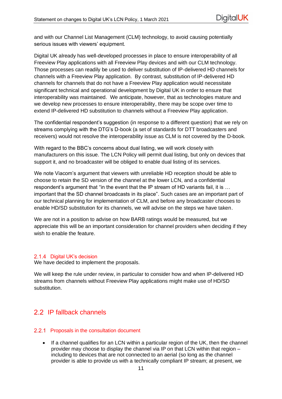and with our Channel List Management (CLM) technology, to avoid causing potentially serious issues with viewers' equipment.

Digital UK already has well-developed processes in place to ensure interoperability of all Freeview Play applications with all Freeview Play devices and with our CLM technology. Those processes can readily be used to deliver substitution of IP-delivered HD channels for channels with a Freeview Play application. By contrast, substitution of IP-delivered HD channels for channels that do not have a Freeview Play application would necessitate significant technical and operational development by Digital UK in order to ensure that interoperability was maintained. We anticipate, however, that as technologies mature and we develop new processes to ensure interoperability, there may be scope over time to extend IP-delivered HD substitution to channels without a Freeview Play application.

The confidential respondent's suggestion (in response to a different question) that we rely on streams complying with the DTG's D-book (a set of standards for DTT broadcasters and receivers) would not resolve the interoperability issue as CLM is not covered by the D-book.

With regard to the BBC's concerns about dual listing, we will work closely with manufacturers on this issue. The LCN Policy will permit dual listing, but only on devices that support it, and no broadcaster will be obliged to enable dual listing of its services.

We note Viacom's argument that viewers with unreliable HD reception should be able to choose to retain the SD version of the channel at the lower LCN, and a confidential respondent's argument that "in the event that the IP stream of HD variants fail, it is … important that the SD channel broadcasts in its place". Such cases are an important part of our technical planning for implementation of CLM, and before any broadcaster chooses to enable HD/SD substitution for its channels, we will advise on the steps we have taken.

We are not in a position to advise on how BARB ratings would be measured, but we appreciate this will be an important consideration for channel providers when deciding if they wish to enable the feature.

### <span id="page-10-0"></span>2.1.4 Digital UK's decision

We have decided to implement the proposals.

We will keep the rule under review, in particular to consider how and when IP-delivered HD streams from channels without Freeview Play applications might make use of HD/SD substitution.

### <span id="page-10-1"></span>2.2 IP fallback channels

#### <span id="page-10-2"></span>2.2.1 Proposals in the consultation document

• If a channel qualifies for an LCN within a particular region of the UK, then the channel provider may choose to display the channel via IP on that LCN within that region – including to devices that are not connected to an aerial (so long as the channel provider is able to provide us with a technically compliant IP stream; at present, we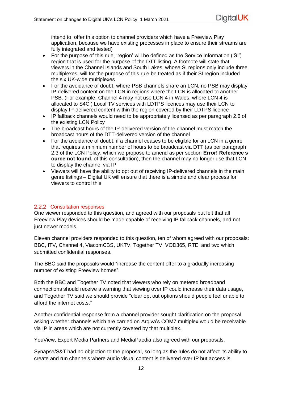intend to offer this option to channel providers which have a Freeview Play application, because we have existing processes in place to ensure their streams are fully integrated and tested)

- For the purpose of this rule, 'region' will be defined as the Service Information ('SI') region that is used for the purpose of the DTT listing. A footnote will state that viewers in the Channel Islands and South Lakes, whose SI regions only include three multiplexes, will for the purpose of this rule be treated as if their SI region included the six UK-wide multiplexes
- For the avoidance of doubt, where PSB channels share an LCN, no PSB may display IP-delivered content on the LCN in regions where the LCN is allocated to another PSB. (For example, Channel 4 may not use LCN 4 in Wales, where LCN 4 is allocated to S4C.) Local TV services with LDTPS licences may use their LCN to display IP-delivered content within the region covered by their LDTPS licence
- IP fallback channels would need to be appropriately licensed as per paragraph 2.6 of the existing LCN Policy
- The broadcast hours of the IP-delivered version of the channel must match the broadcast hours of the DTT-delivered version of the channel
- For the avoidance of doubt, if a channel ceases to be eligible for an LCN in a genre that requires a minimum number of hours to be broadcast via DTT (as per paragraph 2.3 of the LCN Policy, which we propose to amend as per section **Error! Reference s ource not found.** of this consultation), then the channel may no longer use that LCN to display the channel via IP
- Viewers will have the ability to opt out of receiving IP-delivered channels in the main genre listings – Digital UK will ensure that there is a simple and clear process for viewers to control this

### <span id="page-11-0"></span>2.2.2 Consultation responses

One viewer responded to this question, and agreed with our proposals but felt that all Freeview Play devices should be made capable of receiving IP fallback channels, and not just newer models.

Eleven channel providers responded to this question, ten of whom agreed with our proposals: BBC, ITV, Channel 4, ViacomCBS, UKTV, Together TV, VOD365, RTE, and two which submitted confidential responses.

The BBC said the proposals would "increase the content offer to a gradually increasing number of existing Freeview homes".

Both the BBC and Together TV noted that viewers who rely on metered broadband connections should receive a warning that viewing over IP could increase their data usage, and Together TV said we should provide "clear opt out options should people feel unable to afford the internet costs."

Another confidential response from a channel provider sought clarification on the proposal, asking whether channels which are carried on Arqiva's COM7 multiplex would be receivable via IP in areas which are not currently covered by that multiplex.

YouView, Expert Media Partners and MediaPaedia also agreed with our proposals.

Synapse/S&T had no objection to the proposal, so long as the rules do not affect its ability to create and run channels where audio visual content is delivered over IP but access is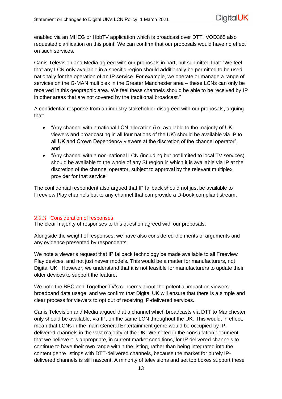enabled via an MHEG or HbbTV application which is broadcast over DTT. VOD365 also requested clarification on this point. We can confirm that our proposals would have no effect on such services.

Canis Television and Media agreed with our proposals in part, but submitted that: "We feel that any LCN only available in a specific region should additionally be permitted to be used nationally for the operation of an IP service. For example, we operate or manage a range of services on the G-MAN multiplex in the Greater Manchester area – these LCNs can only be received in this geographic area. We feel these channels should be able to be received by IP in other areas that are not covered by the traditional broadcast."

A confidential response from an industry stakeholder disagreed with our proposals, arguing that:

- "Any channel with a national LCN allocation (i.e. available to the majority of UK viewers and broadcasting in all four nations of the UK) should be available via IP to all UK and Crown Dependency viewers at the discretion of the channel operator", and
- "Any channel with a non-national LCN (including but not limited to local TV services), should be available to the whole of any SI region in which it is available via IP at the discretion of the channel operator, subject to approval by the relevant multiplex provider for that service"

The confidential respondent also argued that IP fallback should not just be available to Freeview Play channels but to any channel that can provide a D-book compliant stream.

### <span id="page-12-0"></span>2.2.3 Consideration of responses

The clear majority of responses to this question agreed with our proposals.

Alongside the weight of responses, we have also considered the merits of arguments and any evidence presented by respondents.

We note a viewer's request that IP fallback technology be made available to all Freeview Play devices, and not just newer models. This would be a matter for manufacturers, not Digital UK. However, we understand that it is not feasible for manufacturers to update their older devices to support the feature.

We note the BBC and Together TV's concerns about the potential impact on viewers' broadband data usage, and we confirm that Digital UK will ensure that there is a simple and clear process for viewers to opt out of receiving IP-delivered services.

Canis Television and Media argued that a channel which broadcasts via DTT to Manchester only should be available, via IP, on the same LCN throughout the UK. This would, in effect, mean that LCNs in the main General Entertainment genre would be occupied by IPdelivered channels in the vast majority of the UK. We noted in the consultation document that we believe it is appropriate, in current market conditions, for IP delivered channels to continue to have their own range within the listing, rather than being integrated into the content genre listings with DTT-delivered channels, because the market for purely IPdelivered channels is still nascent. A minority of televisions and set top boxes support these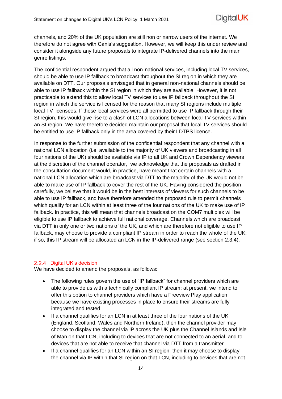channels, and 20% of the UK population are still non or narrow users of the internet. We therefore do not agree with Canis's suggestion. However, we will keep this under review and consider it alongside any future proposals to integrate IP-delivered channels into the main genre listings.

The confidential respondent argued that all non-national services, including local TV services, should be able to use IP fallback to broadcast throughout the SI region in which they are available on DTT. Our proposals envisaged that in general non-national channels should be able to use IP fallback within the SI region in which they are available. However, it is not practicable to extend this to allow local TV services to use IP fallback throughout the SI region in which the service is licensed for the reason that many SI regions include multiple local TV licensees. If those local services were all permitted to use IP fallback through their SI region, this would give rise to a clash of LCN allocations between local TV services within an SI region. We have therefore decided maintain our proposal that local TV services should be entitled to use IP fallback only in the area covered by their LDTPS licence.

In response to the further submission of the confidential respondent that any channel with a national LCN allocation (i.e. available to the majority of UK viewers and broadcasting in all four nations of the UK) should be available via IP to all UK and Crown Dependency viewers at the discretion of the channel operator, we acknowledge that the proposals as drafted in the consultation document would, in practice, have meant that certain channels with a national LCN allocation which are broadcast via DTT to the majority of the UK would not be able to make use of IP fallback to cover the rest of the UK. Having considered the position carefully, we believe that it would be in the best interests of viewers for such channels to be able to use IP fallback, and have therefore amended the proposed rule to permit channels which qualify for an LCN within at least three of the four nations of the UK to make use of IP fallback. In practice, this will mean that channels broadcast on the COM7 multiplex will be eligible to use IP fallback to achieve full national coverage. Channels which are broadcast via DTT in only one or two nations of the UK, and which are therefore not eligible to use IP fallback, may choose to provide a compliant IP stream in order to reach the whole of the UK; if so, this IP stream will be allocated an LCN in the IP-delivered range (see section [2.3.4\)](#page-19-0).

### <span id="page-13-0"></span>2.2.4 Digital UK's decision

We have decided to amend the proposals, as follows:

- The following rules govern the use of "IP fallback" for channel providers which are able to provide us with a technically compliant IP stream; at present, we intend to offer this option to channel providers which have a Freeview Play application, because we have existing processes in place to ensure their streams are fully integrated and tested
- If a channel qualifies for an LCN in at least three of the four nations of the UK (England, Scotland, Wales and Northern Ireland), then the channel provider may choose to display the channel via IP across the UK plus the Channel Islands and Isle of Man on that LCN, including to devices that are not connected to an aerial, and to devices that are not able to receive that channel via DTT from a transmitter
- If a channel qualifies for an LCN within an SI region, then it may choose to display the channel via IP within that SI region on that LCN, including to devices that are not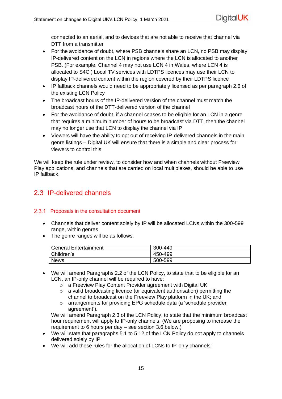connected to an aerial, and to devices that are not able to receive that channel via DTT from a transmitter

- For the avoidance of doubt, where PSB channels share an LCN, no PSB may display IP-delivered content on the LCN in regions where the LCN is allocated to another PSB. (For example, Channel 4 may not use LCN 4 in Wales, where LCN 4 is allocated to S4C.) Local TV services with LDTPS licences may use their LCN to display IP-delivered content within the region covered by their LDTPS licence
- IP fallback channels would need to be appropriately licensed as per paragraph 2.6 of the existing LCN Policy
- The broadcast hours of the IP-delivered version of the channel must match the broadcast hours of the DTT-delivered version of the channel
- For the avoidance of doubt, if a channel ceases to be eligible for an LCN in a genre that requires a minimum number of hours to be broadcast via DTT, then the channel may no longer use that LCN to display the channel via IP
- Viewers will have the ability to opt out of receiving IP-delivered channels in the main genre listings – Digital UK will ensure that there is a simple and clear process for viewers to control this

We will keep the rule under review, to consider how and when channels without Freeview Play applications, and channels that are carried on local multiplexes, should be able to use IP fallback.

# <span id="page-14-0"></span>2.3 IP-delivered channels

### <span id="page-14-1"></span>2.3.1 Proposals in the consultation document

- Channels that deliver content solely by IP will be allocated LCNs within the 300-599 range, within genres
- The genre ranges will be as follows:

| <b>General Entertainment</b> | 300-449 |
|------------------------------|---------|
| Children's                   | 450-499 |
| <b>News</b>                  | 500-599 |

- We will amend Paragraphs 2.2 of the LCN Policy, to state that to be eligible for an LCN, an IP-only channel will be required to have:
	- o a Freeview Play Content Provider agreement with Digital UK
	- o a valid broadcasting licence (or equivalent authorisation) permitting the channel to broadcast on the Freeview Play platform in the UK; and
	- o arrangements for providing EPG schedule data (a 'schedule provider agreement').

We will amend Paragraph 2.3 of the LCN Policy, to state that the minimum broadcast hour requirement will apply to IP-only channels. (We are proposing to increase the requirement to 6 hours per day – see section 3.6 below.)

- We will state that paragraphs 5.1 to 5.12 of the LCN Policy do not apply to channels delivered solely by IP
- We will add these rules for the allocation of LCNs to IP-only channels: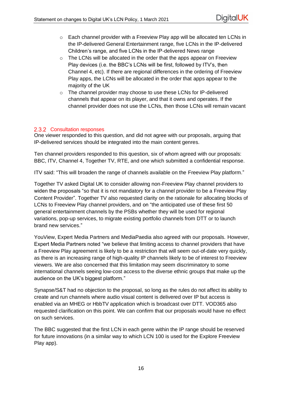- $\circ$  Each channel provider with a Freeview Play app will be allocated ten LCNs in the IP-delivered General Entertainment range, five LCNs in the IP-delivered Children's range, and five LCNs in the IP-delivered News range
- $\circ$  The LCNs will be allocated in the order that the apps appear on Freeview Play devices (i.e. the BBC's LCNs will be first, followed by ITV's, then Channel 4, etc). If there are regional differences in the ordering of Freeview Play apps, the LCNs will be allocated in the order that apps appear to the majority of the UK
- o The channel provider may choose to use these LCNs for IP-delivered channels that appear on its player, and that it owns and operates. If the channel provider does not use the LCNs, then those LCNs will remain vacant

### <span id="page-15-0"></span>2.3.2 Consultation responses

One viewer responded to this question, and did not agree with our proposals, arguing that IP-delivered services should be integrated into the main content genres.

Ten channel providers responded to this question, six of whom agreed with our proposals: BBC, ITV, Channel 4, Together TV, RTE, and one which submitted a confidential response.

ITV said: "This will broaden the range of channels available on the Freeview Play platform."

Together TV asked Digital UK to consider allowing non-Freeview Play channel providers to widen the proposals "so that it is not mandatory for a channel provider to be a Freeview Play Content Provider". Together TV also requested clarity on the rationale for allocating blocks of LCNs to Freeview Play channel providers, and on "the anticipated use of these first 50 general entertainment channels by the PSBs whether they will be used for regional variations, pop-up services, to migrate existing portfolio channels from DTT or to launch brand new services."

YouView, Expert Media Partners and MediaPaedia also agreed with our proposals. However, Expert Media Partners noted "we believe that limiting access to channel providers that have a Freeview Play agreement is likely to be a restriction that will seem out-of-date very quickly, as there is an increasing range of high-quality IP channels likely to be of interest to Freeview viewers. We are also concerned that this limitation may seem discriminatory to some international channels seeing low-cost access to the diverse ethnic groups that make up the audience on the UK's biggest platform."

Synapse/S&T had no objection to the proposal, so long as the rules do not affect its ability to create and run channels where audio visual content is delivered over IP but access is enabled via an MHEG or HbbTV application which is broadcast over DTT. VOD365 also requested clarification on this point. We can confirm that our proposals would have no effect on such services.

The BBC suggested that the first LCN in each genre within the IP range should be reserved for future innovations (in a similar way to which LCN 100 is used for the Explore Freeview Play app).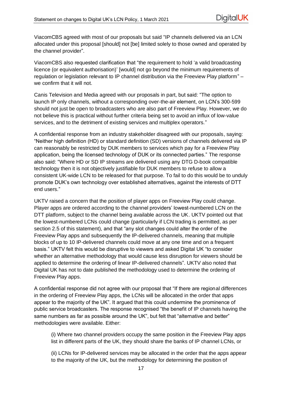ViacomCBS agreed with most of our proposals but said "IP channels delivered via an LCN allocated under this proposal [should] not [be] limited solely to those owned and operated by the channel provider".

ViacomCBS also requested clarification that "the requirement to hold 'a valid broadcasting licence (or equivalent authorisation)' [would] not go beyond the minimum requirements of regulation or legislation relevant to IP channel distribution via the Freeview Play platform" – we confirm that it will not.

Canis Television and Media agreed with our proposals in part, but said: "The option to launch IP only channels, without a corresponding over-the-air element, on LCN's 300-599 should not just be open to broadcasters who are also part of Freeview Play. However, we do not believe this is practical without further criteria being set to avoid an influx of low-value services, and to the detriment of existing services and multiplex operators."

A confidential response from an industry stakeholder disagreed with our proposals, saying: "Neither high definition (HD) or standard definition (SD) versions of channels delivered via IP can reasonably be restricted by DUK members to services which pay for a Freeview Play application, being the licensed technology of DUK or its connected parties." The response also said: "Where HD or SD IP streams are delivered using any DTG D-book compatible technology then it is not objectively justifiable for DUK members to refuse to allow a consistent UK-wide LCN to be released for that purpose. To fail to do this would be to unduly promote DUK's own technology over established alternatives, against the interests of DTT end users."

UKTV raised a concern that the position of player apps on Freeview Play could change. Player apps are ordered according to the channel providers' lowest-numbered LCN on the DTT platform, subject to the channel being available across the UK. UKTV pointed out that the lowest-numbered LCNs could change (particularly if LCN trading is permitted, as per section [2.5](#page-23-0) of this statement), and that "any slot changes could alter the order of the Freeview Play apps and subsequently the IP-delivered channels, meaning that multiple blocks of up to 10 IP-delivered channels could move at any one time and on a frequent basis." UKTV felt this would be disruptive to viewers and asked Digital UK "to consider whether an alternative methodology that would cause less disruption for viewers should be applied to determine the ordering of linear IP-delivered channels". UKTV also noted that Digital UK has not to date published the methodology used to determine the ordering of Freeview Play apps.

A confidential response did not agree with our proposal that "If there are regional differences in the ordering of Freeview Play apps, the LCNs will be allocated in the order that apps appear to the majority of the UK". It argued that this could undermine the prominence of public service broadcasters. The response recognised "the benefit of IP channels having the same numbers as far as possible around the UK", but felt that "alternative and better" methodologies were available. Either:

(i) Where two channel providers occupy the same position in the Freeview Play apps list in different parts of the UK, they should share the banks of IP channel LCNs, or

(ii) LCNs for IP-delivered services may be allocated in the order that the apps appear to the majority of the UK, but the methodology for determining the position of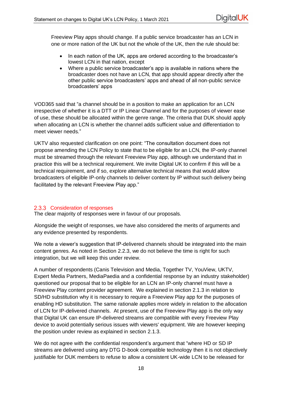Freeview Play apps should change. If a public service broadcaster has an LCN in one or more nation of the UK but not the whole of the UK, then the rule should be:

- In each nation of the UK, apps are ordered according to the broadcaster's lowest LCN in that nation, except
- Where a public service broadcaster's app is available in nations where the broadcaster does not have an LCN, that app should appear directly after the other public service broadcasters' apps and ahead of all non-public service broadcasters' apps

VOD365 said that "a channel should be in a position to make an application for an LCN irrespective of whether it is a DTT or IP Linear Channel and for the purposes of viewer ease of use, these should be allocated within the genre range. The criteria that DUK should apply when allocating an LCN is whether the channel adds sufficient value and differentiation to meet viewer needs."

UKTV also requested clarification on one point: "The consultation document does not propose amending the LCN Policy to state that to be eligible for an LCN, the IP-only channel must be streamed through the relevant Freeview Play app, although we understand that in practice this will be a technical requirement. We invite Digital UK to confirm if this will be a technical requirement, and if so, explore alternative technical means that would allow broadcasters of eligible IP-only channels to deliver content by IP without such delivery being facilitated by the relevant Freeview Play app."

### <span id="page-17-0"></span>2.3.3 Consideration of responses

The clear majority of responses were in favour of our proposals.

Alongside the weight of responses, we have also considered the merits of arguments and any evidence presented by respondents.

We note a viewer's suggestion that IP-delivered channels should be integrated into the main content genres. As noted in Section [2.2.3,](#page-12-0) we do not believe the time is right for such integration, but we will keep this under review.

A number of respondents (Canis Television and Media, Together TV, YouView, UKTV, Expert Media Partners, MediaPaedia and a confidential response by an industry stakeholder) questioned our proposal that to be eligible for an LCN an IP-only channel must have a Freeview Play content provider agreement. We explained in section 2.1.3 in relation to SD/HD substitution why it is necessary to require a Freeview Play app for the purposes of enabling HD substitution. The same rationale applies more widely in relation to the allocation of LCN for IP-delivered channels. At present, use of the Freeview Play app is the only way that Digital UK can ensure IP-delivered streams are compatible with every Freeview Play device to avoid potentially serious issues with viewers' equipment. We are however keeping the position under review as explained in section [2.1.3.](#page-9-0)

We do not agree with the confidential respondent's argument that "where HD or SD IP streams are delivered using any DTG D-book compatible technology then it is not objectively justifiable for DUK members to refuse to allow a consistent UK-wide LCN to be released for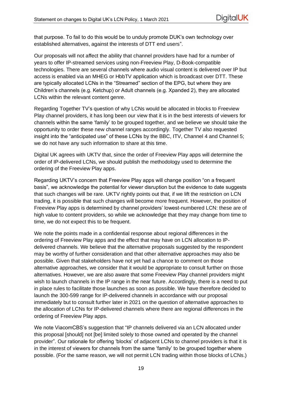that purpose. To fail to do this would be to unduly promote DUK's own technology over established alternatives, against the interests of DTT end users".

Our proposals will not affect the ability that channel providers have had for a number of years to offer IP-streamed services using non-Freeview Play, D-Book-compatible technologies. There are several channels where audio visual content is delivered over IP but access is enabled via an MHEG or HbbTV application which is broadcast over DTT. These are typically allocated LCNs in the "Streamed" section of the EPG, but where they are Children's channels (e.g. Ketchup) or Adult channels (e.g. Xpanded 2), they are allocated LCNs within the relevant content genre.

Regarding Together TV's question of why LCNs would be allocated in blocks to Freeview Play channel providers, it has long been our view that it is in the best interests of viewers for channels within the same 'family' to be grouped together, and we believe we should take the opportunity to order these new channel ranges accordingly. Together TV also requested insight into the "anticipated use" of these LCNs by the BBC, ITV, Channel 4 and Channel 5; we do not have any such information to share at this time.

Digital UK agrees with UKTV that, since the order of Freeview Play apps will determine the order of IP-delivered LCNs, we should publish the methodology used to determine the ordering of the Freeview Play apps.

Regarding UKTV's concern that Freeview Play apps will change position "on a frequent basis", we acknowledge the potential for viewer disruption but the evidence to date suggests that such changes will be rare. UKTV rightly points out that, if we lift the restriction on LCN trading, it is possible that such changes will become more frequent. However, the position of Freeview Play apps is determined by channel providers' lowest-numbered LCN: these are of high value to content providers, so while we acknowledge that they may change from time to time, we do not expect this to be frequent.

We note the points made in a confidential response about regional differences in the ordering of Freeview Play apps and the effect that may have on LCN allocation to IPdelivered channels. We believe that the alternative proposals suggested by the respondent may be worthy of further consideration and that other alternative approaches may also be possible. Given that stakeholders have not yet had a chance to comment on those alternative approaches, we consider that it would be appropriate to consult further on those alternatives. However, we are also aware that some Freeview Play channel providers might wish to launch channels in the IP range in the near future. Accordingly, there is a need to put in place rules to facilitate those launches as soon as possible. We have therefore decided to launch the 300-599 range for IP-delivered channels in accordance with our proposal immediately but to consult further later in 2021 on the question of alternative approaches to the allocation of LCNs for IP-delivered channels where there are regional differences in the ordering of Freeview Play apps.

We note ViacomCBS's suggestion that "IP channels delivered via an LCN allocated under this proposal [should] not [be] limited solely to those owned and operated by the channel provider". Our rationale for offering 'blocks' of adjacent LCNs to channel providers is that it is in the interest of viewers for channels from the same 'family' to be grouped together where possible. (For the same reason, we will not permit LCN trading within those blocks of LCNs.)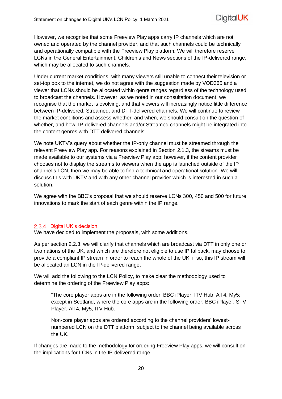However, we recognise that some Freeview Play apps carry IP channels which are not owned and operated by the channel provider, and that such channels could be technically and operationally compatible with the Freeview Play platform. We will therefore reserve LCNs in the General Entertainment, Children's and News sections of the IP-delivered range, which may be allocated to such channels.

Under current market conditions, with many viewers still unable to connect their television or set-top box to the internet, we do not agree with the suggestion made by VOD365 and a viewer that LCNs should be allocated within genre ranges regardless of the technology used to broadcast the channels. However, as we noted in our consultation document, we recognise that the market is evolving, and that viewers will increasingly notice little difference between IP-delivered, Streamed, and DTT-delivered channels. We will continue to review the market conditions and assess whether, and when, we should consult on the question of whether, and how, IP-delivered channels and/or Streamed channels might be integrated into the content genres with DTT delivered channels.

We note UKTV's query about whether the IP-only channel must be streamed through the relevant Freeview Play app. For reasons explained in Section [2.1.3,](#page-9-0) the streams must be made available to our systems via a Freeview Play app; however, if the content provider chooses not to display the streams to viewers when the app is launched outside of the IP channel's LCN, then we may be able to find a technical and operational solution. We will discuss this with UKTV and with any other channel provider which is interested in such a solution.

We agree with the BBC's proposal that we should reserve LCNs 300, 450 and 500 for future innovations to mark the start of each genre within the IP range.

#### <span id="page-19-0"></span>2.3.4 Digital UK's decision

We have decided to implement the proposals, with some additions.

As per section [2.2.3,](#page-12-0) we will clarify that channels which are broadcast via DTT in only one or two nations of the UK, and which are therefore not eligible to use IP fallback, may choose to provide a compliant IP stream in order to reach the whole of the UK; if so, this IP stream will be allocated an LCN in the IP-delivered range.

We will add the following to the LCN Policy, to make clear the methodology used to determine the ordering of the Freeview Play apps:

"The core player apps are in the following order: BBC iPlayer, ITV Hub, All 4, My5; except in Scotland, where the core apps are in the following order: BBC iPlayer, STV Player, All 4, My5, ITV Hub.

Non-core player apps are ordered according to the channel providers' lowestnumbered LCN on the DTT platform, subject to the channel being available across the UK."

If changes are made to the methodology for ordering Freeview Play apps, we will consult on the implications for LCNs in the IP-delivered range.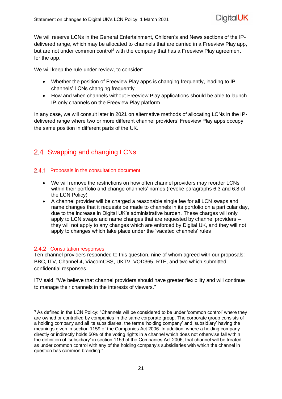We will reserve LCNs in the General Entertainment, Children's and News sections of the IPdelivered range, which may be allocated to channels that are carried in a Freeview Play app, but are not under common control<sup>3</sup> with the company that has a Freeview Play agreement for the app.

We will keep the rule under review, to consider:

- Whether the position of Freeview Play apps is changing frequently, leading to IP channels' LCNs changing frequently
- How and when channels without Freeview Play applications should be able to launch IP-only channels on the Freeview Play platform

In any case, we will consult later in 2021 on alternative methods of allocating LCNs in the IPdelivered range where two or more different channel providers' Freeview Play apps occupy the same position in different parts of the UK.

# <span id="page-20-0"></span>2.4 Swapping and changing LCNs

### <span id="page-20-1"></span>2.4.1 Proposals in the consultation document

- We will remove the restrictions on how often channel providers may reorder LCNs within their portfolio and change channels' names (revoke paragraphs 6.3 and 6.8 of the LCN Policy)
- A channel provider will be charged a reasonable single fee for all LCN swaps and name changes that it requests be made to channels in its portfolio on a particular day, due to the increase in Digital UK's administrative burden. These charges will only apply to LCN swaps and name changes that are requested by channel providers – they will not apply to any changes which are enforced by Digital UK, and they will not apply to changes which take place under the 'vacated channels' rules

### <span id="page-20-2"></span>2.4.2 Consultation responses

Ten channel providers responded to this question, nine of whom agreed with our proposals: BBC, ITV, Channel 4, ViacomCBS, UKTV, VOD365, RTE, and two which submitted confidential responses.

ITV said: "We believe that channel providers should have greater flexibility and will continue to manage their channels in the interests of viewers."

<sup>&</sup>lt;sup>3</sup> As defined in the LCN Policy: "Channels will be considered to be under 'common control' where they are owned or controlled by companies in the same corporate group. The corporate group consists of a holding company and all its subsidiaries, the terms 'holding company' and 'subsidiary' having the meanings given in section 1159 of the Companies Act 2006. In addition, where a holding company directly or indirectly holds 50% of the voting rights in a channel which does not otherwise fall within the definition of 'subsidiary' in section 1159 of the Companies Act 2006, that channel will be treated as under common control with any of the holding company's subsidiaries with which the channel in question has common branding."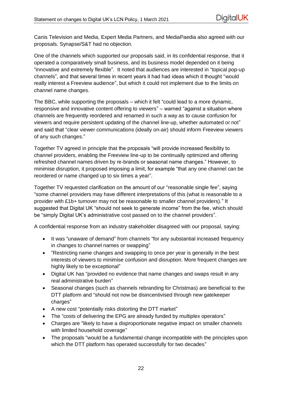Canis Television and Media, Expert Media Partners, and MediaPaedia also agreed with our proposals. Synapse/S&T had no objection.

One of the channels which supported our proposals said, in its confidential response, that it operated a comparatively small business, and its business model depended on it being "innovative and extremely flexible". It noted that audiences are interested in "topical pop-up channels", and that several times in recent years it had had ideas which it thought "would really interest a Freeview audience", but which it could not implement due to the limits on channel name changes.

The BBC, while supporting the proposals – which it felt "could lead to a more dynamic, responsive and innovative content offering to viewers" – warned "against a situation where channels are frequently reordered and renamed in such a way as to cause confusion for viewers and require persistent updating of the channel line‐up, whether automated or not" and said that "clear viewer communications (ideally on‐air) should inform Freeview viewers of any such changes."

Together TV agreed in principle that the proposals "will provide increased flexibility to channel providers, enabling the Freeview line-up to be continually optimized and offering refreshed channel names driven by re-brands or seasonal name changes." However, to minimise disruption, it proposed imposing a limit, for example "that any one channel can be reordered or name changed up to six times a year".

Together TV requested clarification on the amount of our "reasonable single fee", saying "some channel providers may have different interpretations of this (what is reasonable to a provider with £1b+ turnover may not be reasonable to smaller channel providers)." It suggested that Digital UK "should not seek to generate income" from the fee, which should be "simply Digital UK's administrative cost passed on to the channel providers".

A confidential response from an industry stakeholder disagreed with our proposal, saying:

- It was "unaware of demand" from channels "for any substantial increased frequency in changes to channel names or swapping"
- "Restricting name changes and swapping to once per year is generally in the best interests of viewers to minimise confusion and disruption. More frequent changes are highly likely to be exceptional"
- Digital UK has "provided no evidence that name changes and swaps result in any real administrative burden"
- Seasonal changes (such as channels rebranding for Christmas) are beneficial to the DTT platform and "should not now be disincentivised through new gatekeeper charges"
- A new cost "potentially risks distorting the DTT market"
- The "costs of delivering the EPG are already funded by multiplex operators"
- Charges are "likely to have a disproportionate negative impact on smaller channels with limited household coverage"
- The proposals "would be a fundamental change incompatible with the principles upon which the DTT platform has operated successfully for two decades"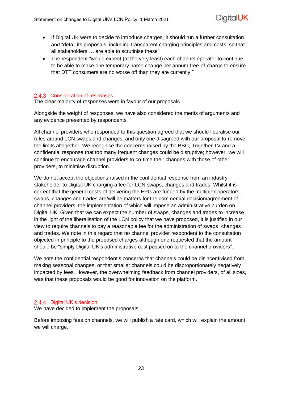- If Digital UK were to decide to introduce charges, it should run a further consultation and "detail its proposals, including transparent charging principles and costs, so that all stakeholders … are able to scrutinise these"
- The respondent "would expect (at the very least) each channel operator to continue to be able to make one temporary name change per annum free-of-charge to ensure that DTT consumers are no worse off than they are currently."

### <span id="page-22-0"></span>2.4.3 Consideration of responses

The clear majority of responses were in favour of our proposals.

Alongside the weight of responses, we have also considered the merits of arguments and any evidence presented by respondents.

All channel providers who responded to this question agreed that we should liberalise our rules around LCN swaps and changes, and only one disagreed with our proposal to remove the limits altogether. We recognise the concerns raised by the BBC, Together TV and a confidential response that too many frequent changes could be disruptive; however, we will continue to encourage channel providers to co-time their changes with those of other providers, to minimise disruption.

We do not accept the objections raised in the confidential response from an industry stakeholder to Digital UK charging a fee for LCN swaps, changes and trades. Whilst it is correct that the general costs of delivering the EPG are funded by the multiplex operators, swaps, changes and trades are/will be matters for the commercial decision/agreement of channel providers, the implementation of which will impose an administrative burden on Digital UK. Given that we can expect the number of swaps, changes and trades to increase in the light of the liberalisation of the LCN policy that we have proposed, it is justified in our view to require channels to pay a reasonable fee for the administration of swaps, changes and trades. We note in this regard that no channel provider respondent to the consultation objected in principle to the proposed charges although one requested that the amount should be "simply Digital UK's administrative cost passed on to the channel providers".

We note the confidential respondent's concerns that channels could be disincentivised from making seasonal changes, or that smaller channels could be disproportionately negatively impacted by fees. However, the overwhelming feedback from channel providers, of all sizes, was that these proposals would be good for innovation on the platform.

### <span id="page-22-1"></span>2.4.4 Digital UK's decision

We have decided to implement the proposals.

Before imposing fees on channels, we will publish a rate card, which will explain the amount we will charge.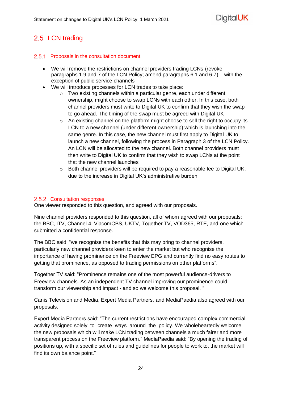# <span id="page-23-0"></span>2.5 LCN trading

### <span id="page-23-1"></span>2.5.1 Proposals in the consultation document

- We will remove the restrictions on channel providers trading LCNs (revoke paragraphs 1.9 and 7 of the LCN Policy; amend paragraphs 6.1 and 6.7) – with the exception of public service channels
- We will introduce processes for LCN trades to take place:
	- o Two existing channels within a particular genre, each under different ownership, might choose to swap LCNs with each other. In this case, both channel providers must write to Digital UK to confirm that they wish the swap to go ahead. The timing of the swap must be agreed with Digital UK
	- $\circ$  An existing channel on the platform might choose to sell the right to occupy its LCN to a new channel (under different ownership) which is launching into the same genre. In this case, the new channel must first apply to Digital UK to launch a new channel, following the process in Paragraph 3 of the LCN Policy. An LCN will be allocated to the new channel. Both channel providers must then write to Digital UK to confirm that they wish to swap LCNs at the point that the new channel launches
	- $\circ$  Both channel providers will be required to pay a reasonable fee to Digital UK, due to the increase in Digital UK's administrative burden

### <span id="page-23-2"></span>2.5.2 Consultation responses

One viewer responded to this question, and agreed with our proposals.

Nine channel providers responded to this question, all of whom agreed with our proposals: the BBC, ITV, Channel 4, ViacomCBS, UKTV, Together TV, VOD365, RTE, and one which submitted a confidential response.

The BBC said: "we recognise the benefits that this may bring to channel providers, particularly new channel providers keen to enter the market but who recognise the importance of having prominence on the Freeview EPG and currently find no easy routes to getting that prominence, as opposed to trading permissions on other platforms".

Together TV said: "Prominence remains one of the most powerful audience-drivers to Freeview channels. As an independent TV channel improving our prominence could transform our viewership and impact - and so we welcome this proposal. "

Canis Television and Media, Expert Media Partners, and MediaPaedia also agreed with our proposals.

Expert Media Partners said: "The current restrictions have encouraged complex commercial activity designed solely to create ways around the policy. We wholeheartedly welcome the new proposals which will make LCN trading between channels a much fairer and more transparent process on the Freeview platform." MediaPaedia said: "By opening the trading of positions up, with a specific set of rules and guidelines for people to work to, the market will find its own balance point."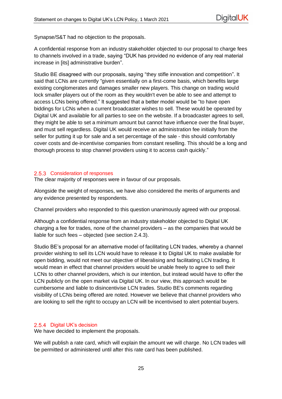Synapse/S&T had no objection to the proposals.

A confidential response from an industry stakeholder objected to our proposal to charge fees to channels involved in a trade, saying "DUK has provided no evidence of any real material increase in [its] administrative burden".

Studio BE disagreed with our proposals, saying "they stifle innovation and competition". It said that LCNs are currently "given essentially on a first-come basis, which benefits large existing conglomerates and damages smaller new players. This change on trading would lock smaller players out of the room as they wouldn't even be able to see and attempt to access LCNs being offered." It suggested that a better model would be "to have open biddings for LCNs when a current broadcaster wishes to sell. These would be operated by Digital UK and available for all parties to see on the website. If a broadcaster agrees to sell, they might be able to set a minimum amount but cannot have influence over the final buyer, and must sell regardless. Digital UK would receive an administration fee initially from the seller for putting it up for sale and a set percentage of the sale - this should comfortably cover costs and de-incentivise companies from constant reselling. This should be a long and thorough process to stop channel providers using it to access cash quickly."

#### <span id="page-24-0"></span>2.5.3 Consideration of responses

The clear majority of responses were in favour of our proposals.

Alongside the weight of responses, we have also considered the merits of arguments and any evidence presented by respondents.

Channel providers who responded to this question unanimously agreed with our proposal.

Although a confidential response from an industry stakeholder objected to Digital UK charging a fee for trades, none of the channel providers – as the companies that would be liable for such fees – objected (see section [2.4.3\)](#page-22-0).

Studio BE's proposal for an alternative model of facilitating LCN trades, whereby a channel provider wishing to sell its LCN would have to release it to Digital UK to make available for open bidding, would not meet our objective of liberalising and facilitating LCN trading. It would mean in effect that channel providers would be unable freely to agree to sell their LCNs to other channel providers, which is our intention, but instead would have to offer the LCN publicly on the open market via Digital UK. In our view, this approach would be cumbersome and liable to disincentivise LCN trades. Studio BE's comments regarding visibility of LCNs being offered are noted. However we believe that channel providers who are looking to sell the right to occupy an LCN will be incentivised to alert potential buyers.

### <span id="page-24-1"></span>2.5.4 Digital UK's decision

We have decided to implement the proposals.

We will publish a rate card, which will explain the amount we will charge. No LCN trades will be permitted or administered until after this rate card has been published.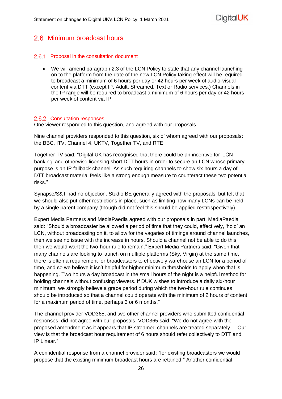## <span id="page-25-0"></span>2.6 Minimum broadcast hours

### <span id="page-25-1"></span>2.6.1 Proposal in the consultation document

• We will amend paragraph 2.3 of the LCN Policy to state that any channel launching on to the platform from the date of the new LCN Policy taking effect will be required to broadcast a minimum of 6 hours per day or 42 hours per week of audio-visual content via DTT (except IP, Adult, Streamed, Text or Radio services.) Channels in the IP range will be required to broadcast a minimum of 6 hours per day or 42 hours per week of content via IP

### <span id="page-25-2"></span>2.6.2 Consultation responses

One viewer responded to this question, and agreed with our proposals.

Nine channel providers responded to this question, six of whom agreed with our proposals: the BBC, ITV, Channel 4, UKTV, Together TV, and RTE.

Together TV said: "Digital UK has recognised that there could be an incentive for 'LCN banking' and otherwise licensing short DTT hours in order to secure an LCN whose primary purpose is an IP fallback channel. As such requiring channels to show six hours a day of DTT broadcast material feels like a strong enough measure to counteract these two potential risks."

Synapse/S&T had no objection. Studio BE generally agreed with the proposals, but felt that we should also put other restrictions in place, such as limiting how many LCNs can be held by a single parent company (though did not feel this should be applied restrospectively).

Expert Media Partners and MediaPaedia agreed with our proposals in part. MediaPaedia said: "Should a broadcaster be allowed a period of time that they could, effectively, 'hold' an LCN, without broadcasting on it, to allow for the vagaries of timings around channel launches, then we see no issue with the increase in hours. Should a channel not be able to do this then we would want the two-hour rule to remain." Expert Media Partners said: "Given that many channels are looking to launch on multiple platforms (Sky, Virgin) at the same time, there is often a requirement for broadcasters to effectively warehouse an LCN for a period of time, and so we believe it isn't helpful for higher minimum thresholds to apply when that is happening. Two hours a day broadcast in the small hours of the night is a helpful method for holding channels without confusing viewers. If DUK wishes to introduce a daily six-hour minimum, we strongly believe a grace period during which the two-hour rule continues should be introduced so that a channel could operate with the minimum of 2 hours of content for a maximum period of time, perhaps 3 or 6 months."

The channel provider VOD365, and two other channel providers who submitted confidential responses, did not agree with our proposals. VOD365 said: "We do not agree with the proposed amendment as it appears that IP streamed channels are treated separately ... Our view is that the broadcast hour requirement of 6 hours should refer collectively to DTT and IP Linear."

A confidential response from a channel provider said: "for existing broadcasters we would propose that the existing minimum broadcast hours are retained." Another confidential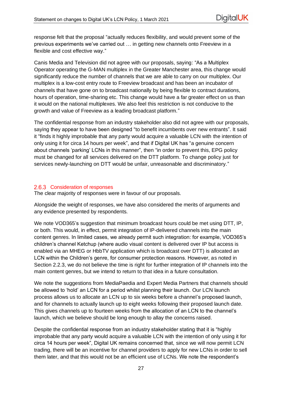response felt that the proposal "actually reduces flexibility, and would prevent some of the previous experiments we've carried out … in getting new channels onto Freeview in a flexible and cost effective way."

Canis Media and Television did not agree with our proposals, saying: "As a Multiplex Operator operating the G-MAN multiplex in the Greater Manchester area, this change would significantly reduce the number of channels that we are able to carry on our multiplex. Our multiplex is a low-cost entry route to Freeview broadcast and has been an incubator of channels that have gone on to broadcast nationally by being flexible to contract durations, hours of operation, time-sharing etc. This change would have a far greater effect on us than it would on the national multiplexes. We also feel this restriction is not conducive to the growth and value of Freeview as a leading broadcast platform."

The confidential response from an industry stakeholder also did not agree with our proposals, saying they appear to have been designed "to benefit incumbents over new entrants". It said it "finds it highly improbable that any party would acquire a valuable LCN with the intention of only using it for circa 14 hours per week", and that if Digital UK has "a genuine concern about channels 'parking' LCNs in this manner", then "in order to prevent this, EPG policy must be changed for all services delivered on the DTT platform. To change policy just for services newly-launching on DTT would be unfair, unreasonable and discriminatory."

#### <span id="page-26-0"></span>2.6.3 Consideration of responses

The clear majority of responses were in favour of our proposals.

Alongside the weight of responses, we have also considered the merits of arguments and any evidence presented by respondents.

We note VOD365's suggestion that minimum broadcast hours could be met using DTT, IP, or both. This would, in effect, permit integration of IP-delivered channels into the main content genres. In limited cases, we already permit such integration: for example, VOD365's children's channel Ketchup (where audio visual content is delivered over IP but access is enabled via an MHEG or HbbTV application which is broadcast over DTT) is allocated an LCN within the Children's genre, for consumer protection reasons. However, as noted in Section [2.2.3,](#page-12-0) we do not believe the time is right for further integration of IP channels into the main content genres, but we intend to return to that idea in a future consultation.

We note the suggestions from MediaPaedia and Expert Media Partners that channels should be allowed to 'hold' an LCN for a period whilst planning their launch. Our LCN launch process allows us to allocate an LCN up to six weeks before a channel's proposed launch, and for channels to actually launch up to eight weeks following their proposed launch date. This gives channels up to fourteen weeks from the allocation of an LCN to the channel's launch, which we believe should be long enough to allay the concerns raised.

Despite the confidential response from an industry stakeholder stating that it is "highly improbable that any party would acquire a valuable LCN with the intention of only using it for circa 14 hours per week", Digital UK remains concerned that, since we will now permit LCN trading, there will be an incentive for channel providers to apply for new LCNs in order to sell them later, and that this would not be an efficient use of LCNs. We note the respondent's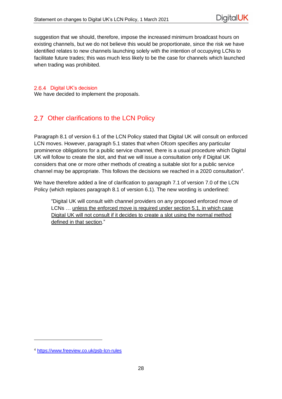suggestion that we should, therefore, impose the increased minimum broadcast hours on existing channels, but we do not believe this would be proportionate, since the risk we have identified relates to new channels launching solely with the intention of occupying LCNs to facilitate future trades; this was much less likely to be the case for channels which launched when trading was prohibited.

### <span id="page-27-0"></span>2.6.4 Digital UK's decision

We have decided to implement the proposals.

# <span id="page-27-1"></span>2.7 Other clarifications to the LCN Policy

Paragraph 8.1 of version 6.1 of the LCN Policy stated that Digital UK will consult on enforced LCN moves. However, paragraph 5.1 states that when Ofcom specifies any particular prominence obligations for a public service channel, there is a usual procedure which Digital UK will follow to create the slot, and that we will issue a consultation only if Digital UK considers that one or more other methods of creating a suitable slot for a public service channel may be appropriate. This follows the decisions we reached in a 2020 consultation $4$ .

We have therefore added a line of clarification to paragraph 7.1 of version 7.0 of the LCN Policy (which replaces paragraph 8.1 of version 6.1). The new wording is underlined:

"Digital UK will consult with channel providers on any proposed enforced move of LCNs ... unless the enforced move is required under section 5.1, in which case Digital UK will not consult if it decides to create a slot using the normal method defined in that section."

<sup>4</sup> <https://www.freeview.co.uk/psb-lcn-rules>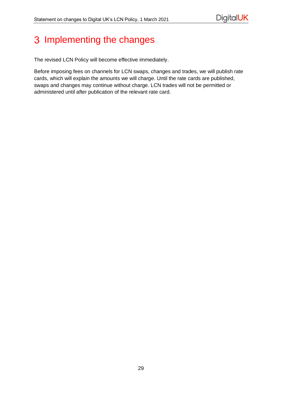# <span id="page-28-0"></span>3 Implementing the changes

The revised LCN Policy will become effective immediately.

Before imposing fees on channels for LCN swaps, changes and trades, we will publish rate cards, which will explain the amounts we will charge. Until the rate cards are published, swaps and changes may continue without charge. LCN trades will not be permitted or administered until after publication of the relevant rate card.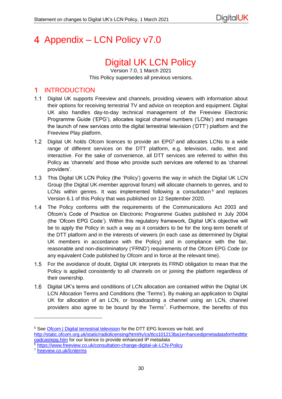# <span id="page-29-0"></span>Appendix – LCN Policy v7.0

# Digital UK LCN Policy

Version 7.0, 1 March 2021 This Policy supersedes all previous versions.

### 1 INTRODUCTION

- 1.1 Digital UK supports Freeview and channels, providing viewers with information about their options for receiving terrestrial TV and advice on reception and equipment. Digital UK also handles day-to-day technical management of the Freeview Electronic Programme Guide ('EPG'), allocates logical channel numbers ('LCNs') and manages the launch of new services onto the digital terrestrial television ('DTT') platform and the Freeview Play platform.
- 1.2 Digital UK holds Ofcom licences to provide an EPG<sup>5</sup> and allocates LCNs to a wide range of different services on the DTT platform, e.g. television, radio, text and interactive. For the sake of convenience, all DTT services are referred to within this Policy as 'channels' and those who provide such services are referred to as 'channel providers'.
- $1.3$ This Digital UK LCN Policy (the 'Policy') governs the way in which the Digital UK LCN Group (the Digital UK-member approval forum) will allocate channels to genres, and to LCNs within genres. It was implemented following a consultation<sup>6</sup> and replaces Version 6.1 of this Policy that was published on 12 September 2020.
- $1.4$ The Policy conforms with the requirements of the Communications Act 2003 and Ofcom's Code of Practice on Electronic Programme Guides published in July 2004 (the 'Ofcom EPG Code'). Within this regulatory framework, Digital UK's objective will be to apply the Policy in such a way as it considers to be for the long-term benefit of the DTT platform and in the interests of viewers (in each case as determined by Digital UK members in accordance with the Policy) and in compliance with the fair, reasonable and non-discriminatory ('FRND') requirements of the Ofcom EPG Code (or any equivalent Code published by Ofcom and in force at the relevant time).
- $1.5$ For the avoidance of doubt, Digital UK interprets its FRND obligation to mean that the Policy is applied consistently to all channels on or joining the platform regardless of their ownership.
- 1.6 Digital UK's terms and conditions of LCN allocation are contained within the Digital UK LCN Allocation Terms and Conditions (the 'Terms'). By making an application to Digital UK for allocation of an LCN, or broadcasting a channel using an LCN, channel providers also agree to be bound by the  $Terms<sup>7</sup>$ . Furthermore, the benefits of this

<sup>&</sup>lt;sup>5</sup> See [Ofcom | Digital terrestrial television](http://static.ofcom.org.uk/static/radiolicensing/html/tv/cs/dtasdtps-main.htm) for the DTT EPG licences we hold, and [http://static.ofcom.org.uk/static/radiolicensing/html/tv/cs/tlcs101213ba1enhancedipmetadataforthedttbr](http://static.ofcom.org.uk/static/radiolicensing/html/tv/cs/tlcs101213ba1enhancedipmetadataforthedttbroadcastepg.htm) [oadcastepg.htm](http://static.ofcom.org.uk/static/radiolicensing/html/tv/cs/tlcs101213ba1enhancedipmetadataforthedttbroadcastepg.htm) for our licence to provide enhanced IP metadata

<sup>&</sup>lt;sup>6</sup> <https://www.freeview.co.uk/consultation-change-digital-uk-LCN-Policy>

<sup>&</sup>lt;sup>7</sup> freeview.co.uk/lcnterms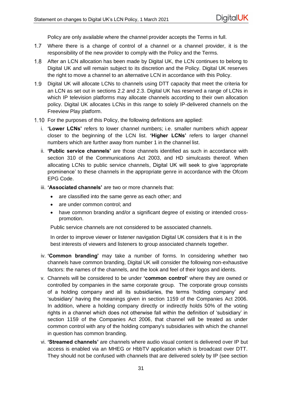Policy are only available where the channel provider accepts the Terms in full.

- Where there is a change of control of a channel or a channel provider, it is the responsibility of the new provider to comply with the Policy and the Terms.
- After an LCN allocation has been made by Digital UK, the LCN continues to belong to Digital UK and will remain subject to its discretion and the Policy. Digital UK reserves the right to move a channel to an alternative LCN in accordance with this Policy.
- <span id="page-30-0"></span> $1.9$ Digital UK will allocate LCNs to channels using DTT capacity that meet the criteria for an LCN as set out in sections 2.2 and 2.3. Digital UK has reserved a range of LCNs in which IP television platforms may allocate channels according to their own allocation policy. Digital UK allocates LCNs in this range to solely IP-delivered channels on the Freeview Play platform.
- <span id="page-30-1"></span>1.10 For the purposes of this Policy, the following definitions are applied:
	- i. **'Lower LCNs'** refers to lower channel numbers; i.e. smaller numbers which appear closer to the beginning of the LCN list. **'Higher LCNs'** refers to larger channel numbers which are further away from number 1 in the channel list.
	- ii. **'Public service channels'** are those channels identified as such in accordance with section 310 of the Communications Act 2003, and HD simulcasts thereof. When allocating LCNs to public service channels, Digital UK will seek to give 'appropriate prominence' to these channels in the appropriate genre in accordance with the Ofcom EPG Code.
	- iii. **'Associated channels'** are two or more channels that:
		- are classified into the same genre as each other; and
		- are under common control; and
		- have common branding and/or a significant degree of existing or intended crosspromotion.

Public service channels are not considered to be associated channels.

In order to improve viewer or listener navigation Digital UK considers that it is in the best interests of viewers and listeners to group associated channels together.

- iv. **'Common branding'** may take a number of forms. In considering whether two channels have common branding, Digital UK will consider the following non-exhaustive factors: the names of the channels, and the look and feel of their logos and idents.
- v. Channels will be considered to be under **'common control'** where they are owned or controlled by companies in the same corporate group. The corporate group consists of a holding company and all its subsidiaries, the terms 'holding company' and 'subsidiary' having the meanings given in section 1159 of the Companies Act 2006. In addition, where a holding company directly or indirectly holds 50% of the voting rights in a channel which does not otherwise fall within the definition of 'subsidiary' in section 1159 of the Companies Act 2006, that channel will be treated as under common control with any of the holding company's subsidiaries with which the channel in question has common branding.
- vi. **'Streamed channels'** are channels where audio visual content is delivered over IP but access is enabled via an MHEG or HbbTV application which is broadcast over DTT. They should not be confused with channels that are delivered solely by IP (see section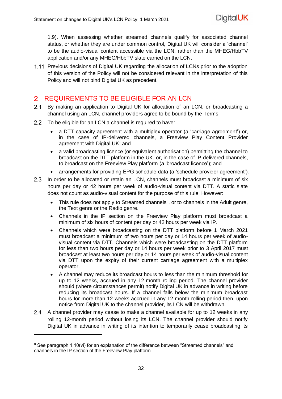[1.9\)](#page-30-0). When assessing whether streamed channels qualify for associated channel status, or whether they are under common control, Digital UK will consider a 'channel' to be the audio-visual content accessible via the LCN, rather than the MHEG/HbbTV application and/or any MHEG/HbbTV slate carried on the LCN.

1.11 Previous decisions of Digital UK regarding the allocation of LCNs prior to the adoption of this version of the Policy will not be considered relevant in the interpretation of this Policy and will not bind Digital UK as precedent.

#### $2 -$ REQUIREMENTS TO BE ELIGIBLE FOR AN LCN

- 2.1 By making an application to Digital UK for allocation of an LCN, or broadcasting a channel using an LCN, channel providers agree to be bound by the Terms.
- 2.2 To be eligible for an LCN a channel is required to have:
	- a DTT capacity agreement with a multiplex operator (a 'carriage agreement') or, in the case of IP-delivered channels, a Freeview Play Content Provider agreement with Digital UK; and
	- a valid broadcasting licence (or equivalent authorisation) permitting the channel to broadcast on the DTT platform in the UK, or, in the case of IP-delivered channels, to broadcast on the Freeview Play platform (a 'broadcast licence'); and
	- arrangements for providing EPG schedule data (a 'schedule provider agreement').
- <span id="page-31-0"></span> $2.3$ In order to be allocated or retain an LCN, channels must broadcast a minimum of six hours per day or 42 hours per week of audio-visual content via DTT. A static slate does not count as audio-visual content for the purpose of this rule. However:
	- $\bullet$  This rule does not apply to Streamed channels<sup>8</sup>, or to channels in the Adult genre, the Text genre or the Radio genre.
	- Channels in the IP section on the Freeview Play platform must broadcast a minimum of six hours of content per day or 42 hours per week via IP.
	- Channels which were broadcasting on the DTT platform before 1 March 2021 must broadcast a minimum of two hours per day or 14 hours per week of audiovisual content via DTT. Channels which were broadcasting on the DTT platform for less than two hours per day or 14 hours per week prior to 3 April 2017 must broadcast at least two hours per day or 14 hours per week of audio-visual content via DTT upon the expiry of their current carriage agreement with a multiplex operator.
	- A channel may reduce its broadcast hours to less than the minimum threshold for up to 12 weeks, accrued in any 12-month rolling period. The channel provider should (where circumstances permit) notify Digital UK in advance in writing before reducing its broadcast hours. If a channel falls below the minimum broadcast hours for more than 12 weeks accrued in any 12-month rolling period then, upon notice from Digital UK to the channel provider, its LCN will be withdrawn.
- A channel provider may cease to make a channel available for up to 12 weeks in any rolling 12-month period without losing its LCN. The channel provider should notify Digital UK in advance in writing of its intention to temporarily cease broadcasting its

<sup>&</sup>lt;sup>8</sup> See paragraph 1.10(vi) for an explanation of the difference between "Streamed channels" and channels in the IP section of the Freeview Play platform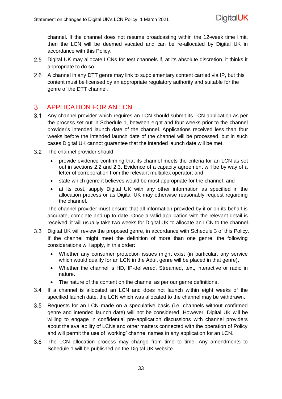channel. If the channel does not resume broadcasting within the 12-week time limit, then the LCN will be deemed vacated and can be re-allocated by Digital UK in accordance with this Policy.

- 2.5 Digital UK may allocate LCNs for test channels if, at its absolute discretion, it thinks it appropriate to do so.
- <span id="page-32-1"></span> $2.6$ A channel in any DTT genre may link to supplementary content carried via IP, but this content must be licensed by an appropriate regulatory authority and suitable for the genre of the DTT channel.

#### <span id="page-32-0"></span> $\mathbf{3}$ APPLICATION FOR AN LCN

- Any channel provider which requires an LCN should submit its LCN application as per the process set out in Schedule 1, between eight and four weeks prior to the channel provider's intended launch date of the channel. Applications received less than four weeks before the intended launch date of the channel will be processed, but in such cases Digital UK cannot guarantee that the intended launch date will be met.
- 3.2 The channel provider should:
	- provide evidence confirming that its channel meets the criteria for an LCN as set out in sections 2.2 and 2.3. Evidence of a capacity agreement will be by way of a letter of corroboration from the relevant multiplex operator; and
	- state which genre it believes would be most appropriate for the channel; and
	- at its cost, supply Digital UK with any other information as specified in the allocation process or as Digital UK may otherwise reasonably request regarding the channel.

The channel provider must ensure that all information provided by it or on its behalf is accurate, complete and up-to-date. Once a valid application with the relevant detail is received, it will usually take two weeks for Digital UK to allocate an LCN to the channel.

- $3.3$ Digital UK will review the proposed genre, in accordance with Schedule 3 of this Policy. If the channel might meet the definition of more than one genre, the following considerations will apply, in this order:
	- Whether any consumer protection issues might exist (in particular, any service which would qualify for an LCN in the Adult genre will be placed in that genre).
	- Whether the channel is HD, IP-delivered, Streamed, text, interactive or radio in nature.
	- The nature of the content on the channel as per our genre definitions.
- $3.4$ If a channel is allocated an LCN and does not launch within eight weeks of the specified launch date, the LCN which was allocated to the channel may be withdrawn.
- $3.5$ Requests for an LCN made on a speculative basis (i.e. channels without confirmed genre and intended launch date) will not be considered. However, Digital UK will be willing to engage in confidential pre-application discussions with channel providers about the availability of LCNs and other matters connected with the operation of Policy and will permit the use of 'working' channel names in any application for an LCN.
- 3.6 The LCN allocation process may change from time to time. Any amendments to Schedule 1 will be published on the Digital UK website.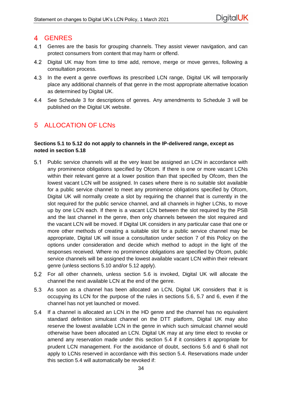## GENRES

- 4.1 Genres are the basis for grouping channels. They assist viewer navigation, and can protect consumers from content that may harm or offend.
- Digital UK may from time to time add, remove, merge or move genres, following a consultation process.
- 4.3 In the event a genre overflows its prescribed LCN range, Digital UK will temporarily place any additional channels of that genre in the most appropriate alternative location as determined by Digital UK.
- See Schedule 3 for descriptions of genres. Any amendments to Schedule 3 will be published on the Digital UK website.

# <span id="page-33-1"></span>ALLOCATION OF LCNs

### **Sections 5.1 to 5.12 do not apply to channels in the IP-delivered range, except as noted in section [5.18](#page-36-0)**

- 5.1 Public service channels will at the very least be assigned an LCN in accordance with any prominence obligations specified by Ofcom. If there is one or more vacant LCNs within their relevant genre at a lower position than that specified by Ofcom, then the lowest vacant LCN will be assigned. In cases where there is no suitable slot available for a public service channel to meet any prominence obligations specified by Ofcom, Digital UK will normally create a slot by requiring the channel that is currently in the slot required for the public service channel, and all channels in higher LCNs, to move up by one LCN each. If there is a vacant LCN between the slot required by the PSB and the last channel in the genre, then only channels between the slot required and the vacant LCN will be moved. If Digital UK considers in any particular case that one or more other methods of creating a suitable slot for a public service channel may be appropriate, Digital UK will issue a consultation under section 7 of this Policy on the options under consideration and decide which method to adopt in the light of the responses received. Where no prominence obligations are specified by Ofcom, public service channels will be assigned the lowest available vacant LCN within their relevant genre (unless sections [5.10](#page-35-0) and/or [5.12](#page-35-1) apply).
- $5.2$ For all other channels, unless section [5.6](#page-34-0) is invoked, Digital UK will allocate the channel the next available LCN at the end of the genre.
- $5.3$ As soon as a channel has been allocated an LCN, Digital UK considers that it is occupying its LCN for the purpose of the rules in sections [5.6,](#page-34-0) [5.7](#page-34-1) and [6,](#page-38-0) even if the channel has not yet launched or moved.
- <span id="page-33-0"></span>5.4 If a channel is allocated an LCN in the HD genre and the channel has no equivalent standard definition simulcast channel on the DTT platform, Digital UK may also reserve the lowest available LCN in the genre in which such simulcast channel would otherwise have been allocated an LCN. Digital UK may at any time elect to revoke or amend any reservation made under this section [5.4](#page-33-0) if it considers it appropriate for prudent LCN management. For the avoidance of doubt, sections [5.6](#page-34-0) and [6](#page-38-0) shall not apply to LCNs reserved in accordance with this section [5.4.](#page-33-0) Reservations made under this section [5.4](#page-33-0) will automatically be revoked if: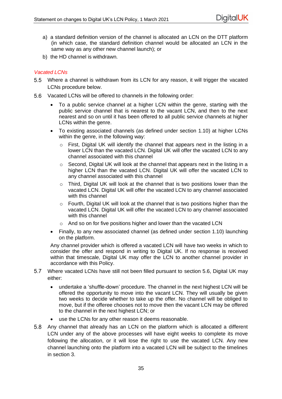- a) a standard definition version of the channel is allocated an LCN on the DTT platform (in which case, the standard definition channel would be allocated an LCN in the same way as any other new channel launch); or
- b) the HD channel is withdrawn.

### *Vacated LCNs*

- Where a channel is withdrawn from its LCN for any reason, it will trigger the vacated LCNs procedure below.
- <span id="page-34-0"></span> $5.6$ Vacated LCNs will be offered to channels in the following order:
	- To a public service channel at a higher LCN within the genre, starting with the public service channel that is nearest to the vacant LCN, and then to the next nearest and so on until it has been offered to all public service channels at higher LCNs within the genre.
	- To existing associated channels (as defined under section [1.10\)](#page-30-1) at higher LCNs within the genre, in the following way:
		- o First, Digital UK will identify the channel that appears next in the listing in a lower LCN than the vacated LCN. Digital UK will offer the vacated LCN to any channel associated with this channel
		- o Second, Digital UK will look at the channel that appears next in the listing in a higher LCN than the vacated LCN. Digital UK will offer the vacated LCN to any channel associated with this channel
		- o Third, Digital UK will look at the channel that is two positions lower than the vacated LCN. Digital UK will offer the vacated LCN to any channel associated with this channel
		- $\circ$  Fourth, Digital UK will look at the channel that is two positions higher than the vacated LCN. Digital UK will offer the vacated LCN to any channel associated with this channel
		- $\circ$  And so on for five positions higher and lower than the vacated LCN
	- Finally, to any new associated channel (as defined under section [1.10\)](#page-30-1) launching on the platform.

Any channel provider which is offered a vacated LCN will have two weeks in which to consider the offer and respond in writing to Digital UK. If no response is received within that timescale, Digital UK may offer the LCN to another channel provider in accordance with this Policy.

- <span id="page-34-1"></span> $5.7$ Where vacated LCNs have still not been filled pursuant to section [5.6,](#page-34-0) Digital UK may either:
	- undertake a 'shuffle-down' procedure. The channel in the next highest LCN will be offered the opportunity to move into the vacant LCN. They will usually be given two weeks to decide whether to take up the offer. No channel will be obliged to move, but if the offeree chooses not to move then the vacant LCN may be offered to the channel in the next highest LCN; or
	- use the LCNs for any other reason it deems reasonable.
- 5.8 Any channel that already has an LCN on the platform which is allocated a different LCN under any of the above processes will have eight weeks to complete its move following the allocation, or it will lose the right to use the vacated LCN. Any new channel launching onto the platform into a vacated LCN will be subject to the timelines in section [3.](#page-32-0)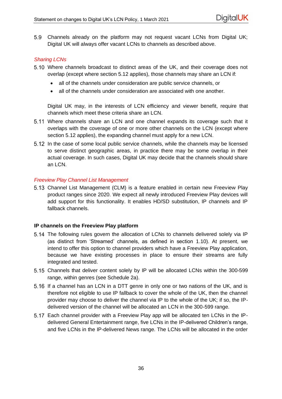5.9 Channels already on the platform may not request vacant LCNs from Digital UK; Digital UK will always offer vacant LCNs to channels as described above.

### *Sharing LCNs*

- <span id="page-35-0"></span>Where channels broadcast to distinct areas of the UK, and their coverage does not overlap (except where section [5.12](#page-35-1) applies), those channels may share an LCN if:
	- all of the channels under consideration are public service channels, or
	- all of the channels under consideration are associated with one another.

Digital UK may, in the interests of LCN efficiency and viewer benefit, require that channels which meet these criteria share an LCN.

- <span id="page-35-3"></span>Where channels share an LCN and one channel expands its coverage such that it overlaps with the coverage of one or more other channels on the LCN (except where section [5.12](#page-35-1) applies), the expanding channel must apply for a new LCN.
- <span id="page-35-1"></span>In the case of some local public service channels, while the channels may be licensed to serve distinct geographic areas, in practice there may be some overlap in their actual coverage. In such cases, Digital UK may decide that the channels should share an LCN.

### *Freeview Play Channel List Management*

Channel List Management (CLM) is a feature enabled in certain new Freeview Play product ranges since 2020. We expect all newly introduced Freeview Play devices will add support for this functionality. It enables HD/SD substitution, IP channels and IP fallback channels.

### **IP channels on the Freeview Play platform**

- 5.14 The following rules govern the allocation of LCNs to channels delivered solely via IP (as distinct from 'Streamed' channels, as defined in section [1.10\)](#page-30-1). At present, we intend to offer this option to channel providers which have a Freeview Play application, because we have existing processes in place to ensure their streams are fully integrated and tested.
- Channels that deliver content solely by IP will be allocated LCNs within the 300-599 range, within genres (see Schedule 2a).
- <span id="page-35-2"></span>5.16 If a channel has an LCN in a DTT genre in only one or two nations of the UK, and is therefore not eligible to use IP fallback to cover the whole of the UK, then the channel provider may choose to deliver the channel via IP to the whole of the UK; if so, the IPdelivered version of the channel will be allocated an LCN in the 300-599 range.
- Each channel provider with a Freeview Play app will be allocated ten LCNs in the IPdelivered General Entertainment range, five LCNs in the IP-delivered Children's range, and five LCNs in the IP-delivered News range. The LCNs will be allocated in the order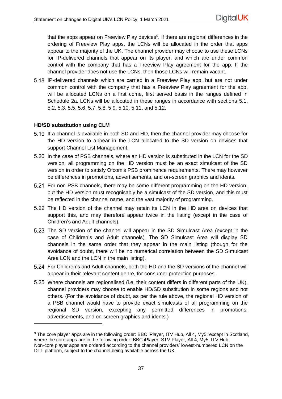that the apps appear on Freeview Play devices<sup>9</sup>. If there are regional differences in the ordering of Freeview Play apps, the LCNs will be allocated in the order that apps appear to the majority of the UK. The channel provider may choose to use these LCNs for IP-delivered channels that appear on its player, and which are under common control with the company that has a Freeview Play agreement for the app. If the channel provider does not use the LCNs, then those LCNs will remain vacant.

<span id="page-36-0"></span>IP-delivered channels which are carried in a Freeview Play app, but are not under common control with the company that has a Freeview Play agreement for the app, will be allocated LCNs on a first come, first served basis in the ranges defined in Schedule 2a. LCNs will be allocated in these ranges in accordance with sections 5.1, 5.2, 5.3, 5.5, 5.6, 5.7, 5.8, 5.9, 5.10, 5.11, and 5.12.

### **HD/SD substitution using CLM**

- If a channel is available in both SD and HD, then the channel provider may choose for the HD version to appear in the LCN allocated to the SD version on devices that support Channel List Management.
- 5.20 In the case of PSB channels, where an HD version is substituted in the LCN for the SD version, all programming on the HD version must be an exact simulcast of the SD version in order to satisfy Ofcom's PSB prominence requirements. There may however be differences in promotions, advertisements, and on-screen graphics and idents.
- For non-PSB channels, there may be some different programming on the HD version, but the HD version must recognisably be a simulcast of the SD version, and this must be reflected in the channel name, and the vast majority of programming.
- 5.22 The HD version of the channel may retain its LCN in the HD area on devices that support this, and may therefore appear twice in the listing (except in the case of Children's and Adult channels).
- 5.23 The SD version of the channel will appear in the SD Simulcast Area (except in the case of Children's and Adult channels). The SD Simulcast Area will display SD channels in the same order that they appear in the main listing (though for the avoidance of doubt, there will be no numerical correlation between the SD Simulcast Area LCN and the LCN in the main listing).
- For Children's and Adult channels, both the HD and the SD versions of the channel will appear in their relevant content genre, for consumer protection purposes.
- Where channels are regionalised (i.e. their content differs in different parts of the UK), channel providers may choose to enable HD/SD substitution in some regions and not others. (For the avoidance of doubt, as per the rule above, the regional HD version of a PSB channel would have to provide exact simulcasts of all programming on the regional SD version, excepting any permitted differences in promotions, advertisements, and on-screen graphics and idents.)

<sup>&</sup>lt;sup>9</sup> The core player apps are in the following order: BBC iPlayer, ITV Hub, All 4, My5; except in Scotland, where the core apps are in the following order: BBC iPlayer, STV Player, All 4, My5, ITV Hub. Non-core player apps are ordered according to the channel providers' lowest-numbered LCN on the DTT platform, subject to the channel being available across the UK.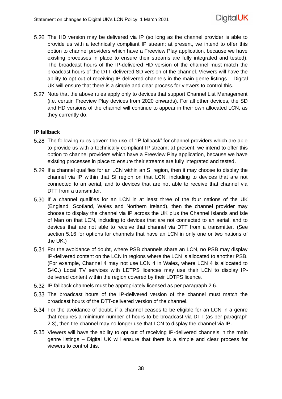- 5.26 The HD version may be delivered via IP (so long as the channel provider is able to provide us with a technically compliant IP stream; at present, we intend to offer this option to channel providers which have a Freeview Play application, because we have existing processes in place to ensure their streams are fully integrated and tested). The broadcast hours of the IP-delivered HD version of the channel must match the broadcast hours of the DTT-delivered SD version of the channel. Viewers will have the ability to opt out of receiving IP-delivered channels in the main genre listings – Digital UK will ensure that there is a simple and clear process for viewers to control this.
- 5.27 Note that the above rules apply only to devices that support Channel List Management (i.e. certain Freeview Play devices from 2020 onwards). For all other devices, the SD and HD versions of the channel will continue to appear in their own allocated LCN, as they currently do.

### **IP fallback**

- 5.28 The following rules govern the use of "IP fallback" for channel providers which are able to provide us with a technically compliant IP stream; at present, we intend to offer this option to channel providers which have a Freeview Play application, because we have existing processes in place to ensure their streams are fully integrated and tested.
- If a channel qualifies for an LCN within an SI region, then it may choose to display the channel via IP within that SI region on that LCN, including to devices that are not connected to an aerial, and to devices that are not able to receive that channel via DTT from a transmitter.
- If a channel qualifies for an LCN in at least three of the four nations of the UK (England, Scotland, Wales and Northern Ireland), then the channel provider may choose to display the channel via IP across the UK plus the Channel Islands and Isle of Man on that LCN, including to devices that are not connected to an aerial, and to devices that are not able to receive that channel via DTT from a transmitter. (See section [5.16](#page-35-2) for options for channels that have an LCN in only one or two nations of the UK.)
- For the avoidance of doubt, where PSB channels share an LCN, no PSB may display IP-delivered content on the LCN in regions where the LCN is allocated to another PSB. (For example, Channel 4 may not use LCN 4 in Wales, where LCN 4 is allocated to S4C.) Local TV services with LDTPS licences may use their LCN to display IPdelivered content within the region covered by their LDTPS licence.
- 5.32 IP fallback channels must be appropriately licensed as per paragraph [2.6.](#page-32-1)
- 5.33 The broadcast hours of the IP-delivered version of the channel must match the broadcast hours of the DTT-delivered version of the channel.
- For the avoidance of doubt, if a channel ceases to be eligible for an LCN in a genre that requires a minimum number of hours to be broadcast via DTT (as per paragraph [2.3\)](#page-31-0), then the channel may no longer use that LCN to display the channel via IP.
- 5.35 Viewers will have the ability to opt out of receiving IP-delivered channels in the main genre listings – Digital UK will ensure that there is a simple and clear process for viewers to control this.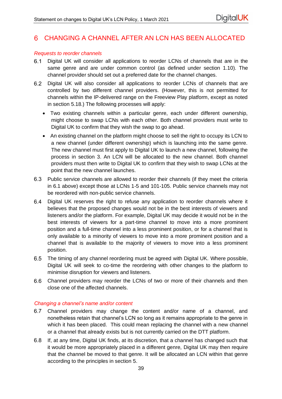# <span id="page-38-0"></span>CHANGING A CHANNEL AFTER AN LCN HAS BEEN ALLOCATED

#### *Requests to reorder channels*

- <span id="page-38-1"></span> $6.1$ Digital UK will consider all applications to reorder LCNs of channels that are in the same genre and are under common control (as defined under section [1.10\)](#page-30-1). The channel provider should set out a preferred date for the channel changes.
- $6.2$ Digital UK will also consider all applications to reorder LCNs of channels that are controlled by two different channel providers. (However, this is not permitted for channels within the IP-delivered range on the Freeview Play platform, except as noted in section [5.18.](#page-36-0)) The following processes will apply:
	- Two existing channels within a particular genre, each under different ownership, might choose to swap LCNs with each other. Both channel providers must write to Digital UK to confirm that they wish the swap to go ahead.
	- An existing channel on the platform might choose to sell the right to occupy its LCN to a new channel (under different ownership) which is launching into the same genre. The new channel must first apply to Digital UK to launch a new channel, following the process in section 3. An LCN will be allocated to the new channel. Both channel providers must then write to Digital UK to confirm that they wish to swap LCNs at the point that the new channel launches.
- 6.3 Public service channels are allowed to reorder their channels (if they meet the criteria in [6.1 above\)](#page-38-1) except those at LCNs 1-5 and 101-105. Public service channels may not be reordered with non-public service channels.
- 6.4 Digital UK reserves the right to refuse any application to reorder channels where it believes that the proposed changes would not be in the best interests of viewers and listeners and/or the platform. For example, Digital UK may decide it would not be in the best interests of viewers for a part-time channel to move into a more prominent position and a full-time channel into a less prominent position, or for a channel that is only available to a minority of viewers to move into a more prominent position and a channel that is available to the majority of viewers to move into a less prominent position.
- The timing of any channel reordering must be agreed with Digital UK. Where possible, Digital UK will seek to co-time the reordering with other changes to the platform to minimise disruption for viewers and listeners.
- Channel providers may reorder the LCNs of two or more of their channels and then 6.6 close one of the affected channels.

### *Changing a channel's name and/or content*

- <span id="page-38-2"></span>6.7 Channel providers may change the content and/or name of a channel, and nonetheless retain that channel's LCN so long as it remains appropriate to the genre in which it has been placed. This could mean replacing the channel with a new channel or a channel that already exists but is not currently carried on the DTT platform.
- $6.8$ If, at any time, Digital UK finds, at its discretion, that a channel has changed such that it would be more appropriately placed in a different genre, Digital UK may then require that the channel be moved to that genre. It will be allocated an LCN within that genre according to the principles in section [5.](#page-33-1)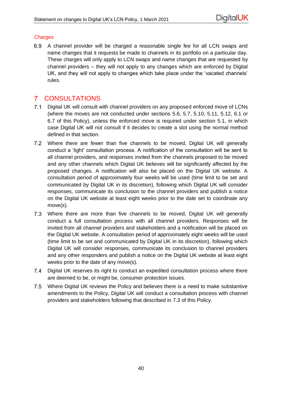### *Charges*

6.9 A channel provider will be charged a reasonable single fee for all LCN swaps and name changes that it requests be made to channels in its portfolio on a particular day. These charges will only apply to LCN swaps and name changes that are requested by channel providers – they will not apply to any changes which are enforced by Digital UK, and they will not apply to changes which take place under the 'vacated channels' rules.

# <span id="page-39-1"></span>7 CONSULTATIONS

- Digital UK will consult with channel providers on any proposed enforced move of LCNs (where the moves are not conducted under sections [5.6,](#page-34-0) [5.7,](#page-34-1) [5.10,](#page-35-0) [5.11,](#page-35-3) [5.12,](#page-35-1) [6.1](#page-38-1) or [6.7](#page-38-2) of this Policy), unless the enforced move is required under section 5.1, in which case Digital UK will not consult if it decides to create a slot using the normal method defined in that section.
- Where there are fewer than five channels to be moved, Digital UK will generally conduct a 'light' consultation process. A notification of the consultation will be sent to all channel providers, and responses invited from the channels proposed to be moved and any other channels which Digital UK believes will be significantly affected by the proposed changes. A notification will also be placed on the Digital UK website. A consultation period of approximately four weeks will be used (time limit to be set and communicated by Digital UK in its discretion), following which Digital UK will consider responses, communicate its conclusion to the channel providers and publish a notice on the Digital UK website at least eight weeks prior to the date set to coordinate any move(s).
- <span id="page-39-0"></span>Where there are more than five channels to be moved, Digital UK will generally conduct a full consultation process with all channel providers. Responses will be invited from all channel providers and stakeholders and a notification will be placed on the Digital UK website. A consultation period of approximately eight weeks will be used (time limit to be set and communicated by Digital UK in its discretion), following which Digital UK will consider responses, communicate its conclusion to channel providers and any other responders and publish a notice on the Digital UK website at least eight weeks prior to the date of any move(s).
- 7.4 Digital UK reserves its right to conduct an expedited consultation process where there are deemed to be, or might be, consumer protection issues.
- $7.5$ Where Digital UK reviews the Policy and believes there is a need to make substantive amendments to the Policy, Digital UK will conduct a consultation process with channel providers and stakeholders following that described in [7.3](#page-39-0) of this Policy.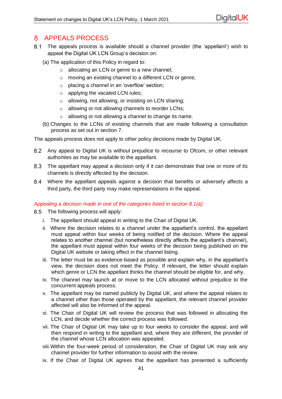# APPEALS PROCESS

- The appeals process is available should a channel provider (the 'appellant') wish to appeal the Digital UK LCN Group's decision on:
	- (a) The application of this Policy in regard to:
		- o allocating an LCN or genre to a new channel;
		- o moving an existing channel to a different LCN or genre;
		- o placing a channel in an 'overflow' section;
		- o applying the vacated LCN rules;
		- o allowing, not allowing, or insisting on LCN sharing;
		- o allowing or not allowing channels to reorder LCNs;
		- o allowing or not allowing a channel to change its name.
	- (b) Changes to the LCNs of existing channels that are made following a consultation process as set out in section [7.](#page-39-1)

The appeals process does not apply to other policy decisions made by Digital UK.

- 8.2 Any appeal to Digital UK is without prejudice to recourse to Ofcom, or other relevant authorities as may be available to the appellant.
- 8.3 The appellant may appeal a decision only if it can demonstrate that one or more of its channels is directly affected by the decision.
- 8.4 Where the appellant appeals against a decision that benefits or adversely affects a third party, the third party may make representations in the appeal.

### *Appealing a decision made in one of the categories listed in section 8.1(a):*

- 8.5 The following process will apply:
	- i. The appellant should appeal in writing to the Chair of Digital UK.
	- ii. Where the decision relates to a channel under the appellant's control, the appellant must appeal within four weeks of being notified of the decision. Where the appeal relates to another channel (but nonetheless directly affects the appellant's channel), the appellant must appeal within four weeks of the decision being published on the Digital UK website or taking effect in the channel listing.
	- iii. The letter must be as evidence-based as possible and explain why, in the appellant's view, the decision does not meet the Policy. If relevant, the letter should explain which genre or LCN the appellant thinks the channel should be eligible for, and why.
	- iv. The channel may launch at or move to the LCN allocated without prejudice to the concurrent appeals process.
	- v. The appellant may be named publicly by Digital UK, and where the appeal relates to a channel other than those operated by the appellant, the relevant channel provider affected will also be informed of the appeal.
	- vi. The Chair of Digital UK will review the process that was followed in allocating the LCN, and decide whether the correct process was followed.
	- vii. The Chair of Digital UK may take up to four weeks to consider the appeal, and will then respond in writing to the appellant and, where they are different, the provider of the channel whose LCN allocation was appealed.
	- viii.Within the four-week period of consideration, the Chair of Digital UK may ask any channel provider for further information to assist with the review.
	- ix. If the Chair of Digital UK agrees that the appellant has presented a sufficiently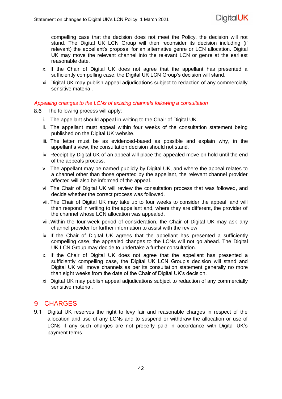compelling case that the decision does not meet the Policy, the decision will not stand. The Digital UK LCN Group will then reconsider its decision including (if relevant) the appellant's proposal for an alternative genre or LCN allocation. Digital UK may move the relevant channel into the relevant LCN or genre at the earliest reasonable date.

- x. If the Chair of Digital UK does not agree that the appellant has presented a sufficiently compelling case, the Digital UK LCN Group's decision will stand.
- xi. Digital UK may publish appeal adjudications subject to redaction of any commercially sensitive material.

### *Appealing changes to the LCNs of existing channels following a consultation*

- 8.6 The following process will apply:
	- i. The appellant should appeal in writing to the Chair of Digital UK.
	- ii. The appellant must appeal within four weeks of the consultation statement being published on the Digital UK website.
	- iii. The letter must be as evidenced-based as possible and explain why, in the appellant's view, the consultation decision should not stand.
	- iv. Receipt by Digital UK of an appeal will place the appealed move on hold until the end of the appeals process.
	- v. The appellant may be named publicly by Digital UK, and where the appeal relates to a channel other than those operated by the appellant, the relevant channel provider affected will also be informed of the appeal.
	- vi. The Chair of Digital UK will review the consultation process that was followed, and decide whether the correct process was followed.
	- vii. The Chair of Digital UK may take up to four weeks to consider the appeal, and will then respond in writing to the appellant and, where they are different, the provider of the channel whose LCN allocation was appealed.
	- viii.Within the four-week period of consideration, the Chair of Digital UK may ask any channel provider for further information to assist with the review.
	- ix. If the Chair of Digital UK agrees that the appellant has presented a sufficiently compelling case, the appealed changes to the LCNs will not go ahead. The Digital UK LCN Group may decide to undertake a further consultation.
	- x. If the Chair of Digital UK does not agree that the appellant has presented a sufficiently compelling case, the Digital UK LCN Group's decision will stand and Digital UK will move channels as per its consultation statement generally no more than eight weeks from the date of the Chair of Digital UK's decision.
	- xi. Digital UK may publish appeal adjudications subject to redaction of any commercially sensitive material.

### 9 CHARGES

9.1 Digital UK reserves the right to levy fair and reasonable charges in respect of the allocation and use of any LCNs and to suspend or withdraw the allocation or use of LCNs if any such charges are not properly paid in accordance with Digital UK's payment terms.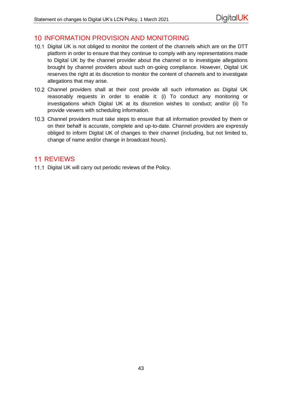## 10 INFORMATION PROVISION AND MONITORING

- 10.1 Digital UK is not obliged to monitor the content of the channels which are on the DTT platform in order to ensure that they continue to comply with any representations made to Digital UK by the channel provider about the channel or to investigate allegations brought by channel providers about such on-going compliance. However, Digital UK reserves the right at its discretion to monitor the content of channels and to investigate allegations that may arise.
- 10.2 Channel providers shall at their cost provide all such information as Digital UK reasonably requests in order to enable it: (i) To conduct any monitoring or investigations which Digital UK at its discretion wishes to conduct; and/or (ii) To provide viewers with scheduling information.
- 10.3 Channel providers must take steps to ensure that all information provided by them or on their behalf is accurate, complete and up-to-date. Channel providers are expressly obliged to inform Digital UK of changes to their channel (including, but not limited to, change of name and/or change in broadcast hours).

### **11 REVIEWS**

11.1 Digital UK will carry out periodic reviews of the Policy.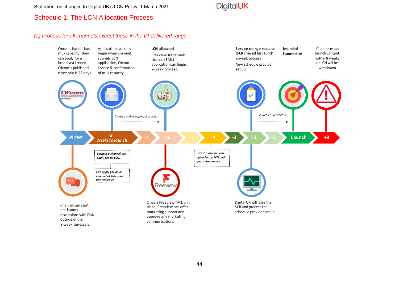# **DigitalUK**

### Schedule 1: The LCN Allocation Process

#### *(a) Process for all channels except those in the IP-delivered range*

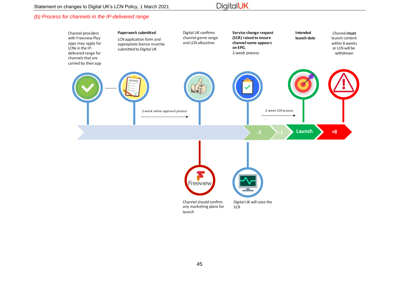# **DigitalUK**

#### *(b) Process for channels in the IP-delivered range*

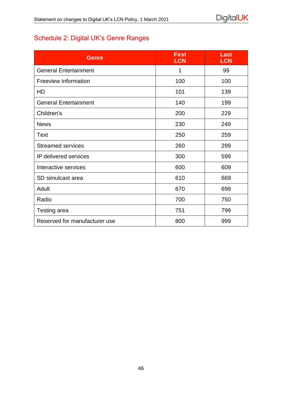# Schedule 2: Digital UK's Genre Ranges

| <b>Genre</b>                  | <b>First</b><br><b>LCN</b> | Last<br><b>LCN</b> |
|-------------------------------|----------------------------|--------------------|
| <b>General Entertainment</b>  | 1                          | 99                 |
| <b>Freeview Information</b>   | 100                        | 100                |
| HD                            | 101                        | 139                |
| <b>General Entertainment</b>  | 140                        | 199                |
| Children's                    | 200                        | 229                |
| <b>News</b>                   | 230                        | 249                |
| <b>Text</b>                   | 250                        | 259                |
| <b>Streamed services</b>      | 260                        | 299                |
| <b>IP delivered services</b>  | 300                        | 599                |
| Interactive services          | 600                        | 609                |
| SD simulcast area             | 610                        | 669                |
| Adult                         | 670                        | 699                |
| Radio                         | 700                        | 750                |
| Testing area                  | 751                        | 799                |
| Reserved for manufacturer use | 800                        | 999                |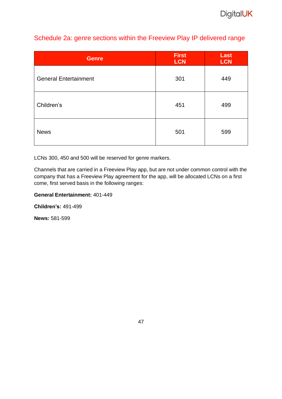# Schedule 2a: genre sections within the Freeview Play IP delivered range

| <b>Genre</b>                 | <b>First</b><br><b>LCN</b> | Last<br><b>LCN</b> |
|------------------------------|----------------------------|--------------------|
| <b>General Entertainment</b> | 301                        | 449                |
| Children's                   | 451                        | 499                |
| <b>News</b>                  | 501                        | 599                |

LCNs 300, 450 and 500 will be reserved for genre markers.

Channels that are carried in a Freeview Play app, but are not under common control with the company that has a Freeview Play agreement for the app, will be allocated LCNs on a first come, first served basis in the following ranges:

### **General Entertainment:** 401-449

**Children's:** 491-499

**News:** 581-599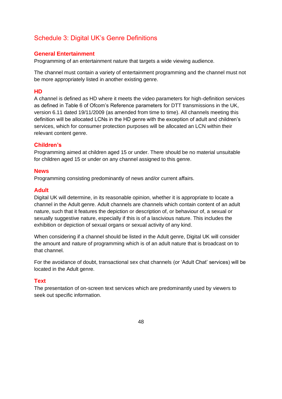# Schedule 3: Digital UK's Genre Definitions

### **General Entertainment**

Programming of an entertainment nature that targets a wide viewing audience.

The channel must contain a variety of entertainment programming and the channel must not be more appropriately listed in another existing genre.

### **HD**

A channel is defined as HD where it meets the video parameters for high-definition services as defined in Table 6 of Ofcom's Reference parameters for DTT transmissions in the UK, version 6.11 dated 19/11/2009 (as amended from time to time). All channels meeting this definition will be allocated LCNs in the HD genre with the exception of adult and children's services, which for consumer protection purposes will be allocated an LCN within their relevant content genre.

### **Children's**

Programming aimed at children aged 15 or under. There should be no material unsuitable for children aged 15 or under on any channel assigned to this genre.

### **News**

Programming consisting predominantly of news and/or current affairs.

### **Adult**

Digital UK will determine, in its reasonable opinion, whether it is appropriate to locate a channel in the Adult genre. Adult channels are channels which contain content of an adult nature, such that it features the depiction or description of, or behaviour of, a sexual or sexually suggestive nature, especially if this is of a lascivious nature. This includes the exhibition or depiction of sexual organs or sexual activity of any kind.

When considering if a channel should be listed in the Adult genre, Digital UK will consider the amount and nature of programming which is of an adult nature that is broadcast on to that channel.

For the avoidance of doubt, transactional sex chat channels (or 'Adult Chat' services) will be located in the Adult genre.

### **Text**

The presentation of on-screen text services which are predominantly used by viewers to seek out specific information.

### 48